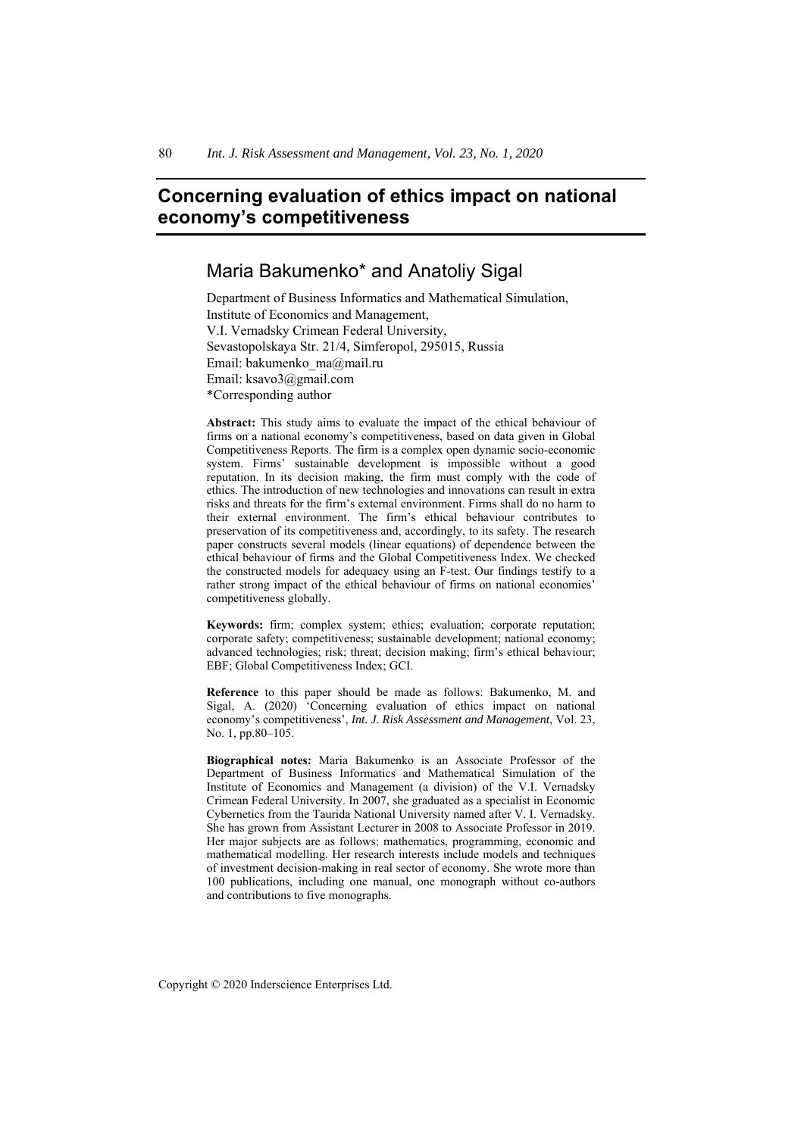# **Concerning evaluation of ethics impact on national economy's competitiveness**

## Maria Bakumenko\* and Anatoliy Sigal

Department of Business Informatics and Mathematical Simulation, Institute of Economics and Management, V.I. Vernadsky Crimean Federal University, Sevastopolskaya Str. 21/4, Simferopol, 295015, Russia Email: bakumenko\_ma@mail.ru Email: ksavo3@gmail.com \*Corresponding author

**Abstract:** This study aims to evaluate the impact of the ethical behaviour of firms on a national economy's competitiveness, based on data given in Global Competitiveness Reports. The firm is a complex open dynamic socio-economic system. Firms' sustainable development is impossible without a good reputation. In its decision making, the firm must comply with the code of ethics. The introduction of new technologies and innovations can result in extra risks and threats for the firm's external environment. Firms shall do no harm to their external environment. The firm's ethical behaviour contributes to preservation of its competitiveness and, accordingly, to its safety. The research paper constructs several models (linear equations) of dependence between the ethical behaviour of firms and the Global Competitiveness Index. We checked the constructed models for adequacy using an F-test. Our findings testify to a rather strong impact of the ethical behaviour of firms on national economies' competitiveness globally.

**Keywords:** firm; complex system; ethics; evaluation; corporate reputation; corporate safety; competitiveness; sustainable development; national economy; advanced technologies; risk; threat; decision making; firm's ethical behaviour; EBF; Global Competitiveness Index; GCI.

**Reference** to this paper should be made as follows: Bakumenko, M. and Sigal, A. (2020) 'Concerning evaluation of ethics impact on national economy's competitiveness', *Int. J. Risk Assessment and Management*, Vol. 23, No. 1, pp.80–105.

**Biographical notes:** Maria Bakumenko is an Associate Professor of the Department of Business Informatics and Mathematical Simulation of the Institute of Economics and Management (a division) of the V.I. Vernadsky Crimean Federal University. In 2007, she graduated as a specialist in Economic Cybernetics from the Taurida National University named after V. I. Vernadsky. She has grown from Assistant Lecturer in 2008 to Associate Professor in 2019. Her major subjects are as follows: mathematics, programming, economic and mathematical modelling. Her research interests include models and techniques of investment decision-making in real sector of economy. She wrote more than 100 publications, including one manual, one monograph without co-authors and contributions to five monographs.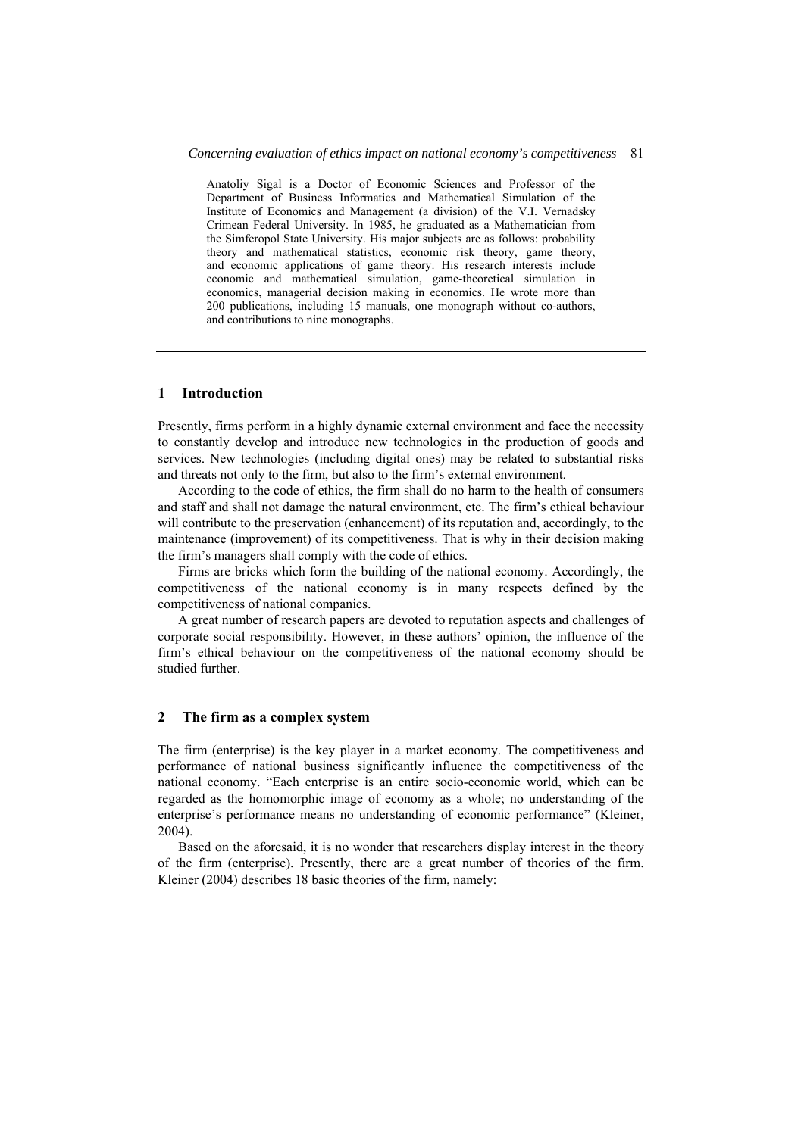Anatoliy Sigal is a Doctor of Economic Sciences and Professor of the Department of Business Informatics and Mathematical Simulation of the Institute of Economics and Management (a division) of the V.I. Vernadsky Crimean Federal University. In 1985, he graduated as a Mathematician from the Simferopol State University. His major subjects are as follows: probability theory and mathematical statistics, economic risk theory, game theory, and economic applications of game theory. His research interests include economic and mathematical simulation, game-theoretical simulation in economics, managerial decision making in economics. He wrote more than 200 publications, including 15 manuals, one monograph without co-authors, and contributions to nine monographs.

#### **1 Introduction**

Presently, firms perform in a highly dynamic external environment and face the necessity to constantly develop and introduce new technologies in the production of goods and services. New technologies (including digital ones) may be related to substantial risks and threats not only to the firm, but also to the firm's external environment.

According to the code of ethics, the firm shall do no harm to the health of consumers and staff and shall not damage the natural environment, etc. The firm's ethical behaviour will contribute to the preservation (enhancement) of its reputation and, accordingly, to the maintenance (improvement) of its competitiveness. That is why in their decision making the firm's managers shall comply with the code of ethics.

Firms are bricks which form the building of the national economy. Accordingly, the competitiveness of the national economy is in many respects defined by the competitiveness of national companies.

A great number of research papers are devoted to reputation aspects and challenges of corporate social responsibility. However, in these authors' opinion, the influence of the firm's ethical behaviour on the competitiveness of the national economy should be studied further.

#### **2 The firm as a complex system**

The firm (enterprise) is the key player in a market economy. The competitiveness and performance of national business significantly influence the competitiveness of the national economy. "Each enterprise is an entire socio-economic world, which can be regarded as the homomorphic image of economy as a whole; no understanding of the enterprise's performance means no understanding of economic performance" (Kleiner, 2004).

Based on the aforesaid, it is no wonder that researchers display interest in the theory of the firm (enterprise). Presently, there are a great number of theories of the firm. Kleiner (2004) describes 18 basic theories of the firm, namely: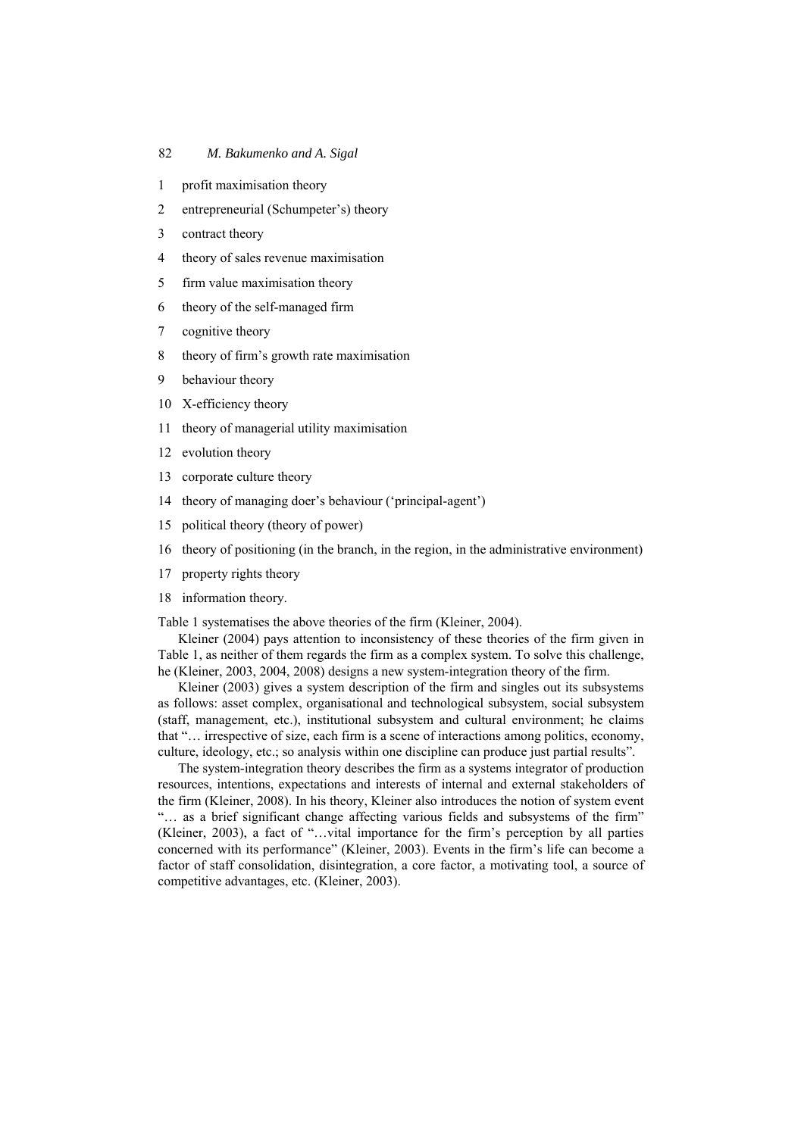## 82 *M. Bakumenko and A. Sigal*

- 1 profit maximisation theory
- 2 entrepreneurial (Schumpeter's) theory
- 3 contract theory
- 4 theory of sales revenue maximisation
- 5 firm value maximisation theory
- 6 theory of the self-managed firm
- 7 cognitive theory
- 8 theory of firm's growth rate maximisation
- 9 behaviour theory
- 10 X-efficiency theory
- 11 theory of managerial utility maximisation
- 12 evolution theory
- 13 corporate culture theory
- 14 theory of managing doer's behaviour ('principal-agent')
- 15 political theory (theory of power)
- 16 theory of positioning (in the branch, in the region, in the administrative environment)
- 17 property rights theory
- 18 information theory.

Table 1 systematises the above theories of the firm (Kleiner, 2004).

Kleiner (2004) pays attention to inconsistency of these theories of the firm given in Table 1, as neither of them regards the firm as a complex system. To solve this challenge, he (Kleiner, 2003, 2004, 2008) designs a new system-integration theory of the firm.

Kleiner (2003) gives a system description of the firm and singles out its subsystems as follows: asset complex, organisational and technological subsystem, social subsystem (staff, management, etc.), institutional subsystem and cultural environment; he claims that "… irrespective of size, each firm is a scene of interactions among politics, economy, culture, ideology, etc.; so analysis within one discipline can produce just partial results".

The system-integration theory describes the firm as a systems integrator of production resources, intentions, expectations and interests of internal and external stakeholders of the firm (Kleiner, 2008). In his theory, Kleiner also introduces the notion of system event "… as a brief significant change affecting various fields and subsystems of the firm" (Kleiner, 2003), a fact of "…vital importance for the firm's perception by all parties concerned with its performance" (Kleiner, 2003). Events in the firm's life can become a factor of staff consolidation, disintegration, a core factor, a motivating tool, a source of competitive advantages, etc. (Kleiner, 2003).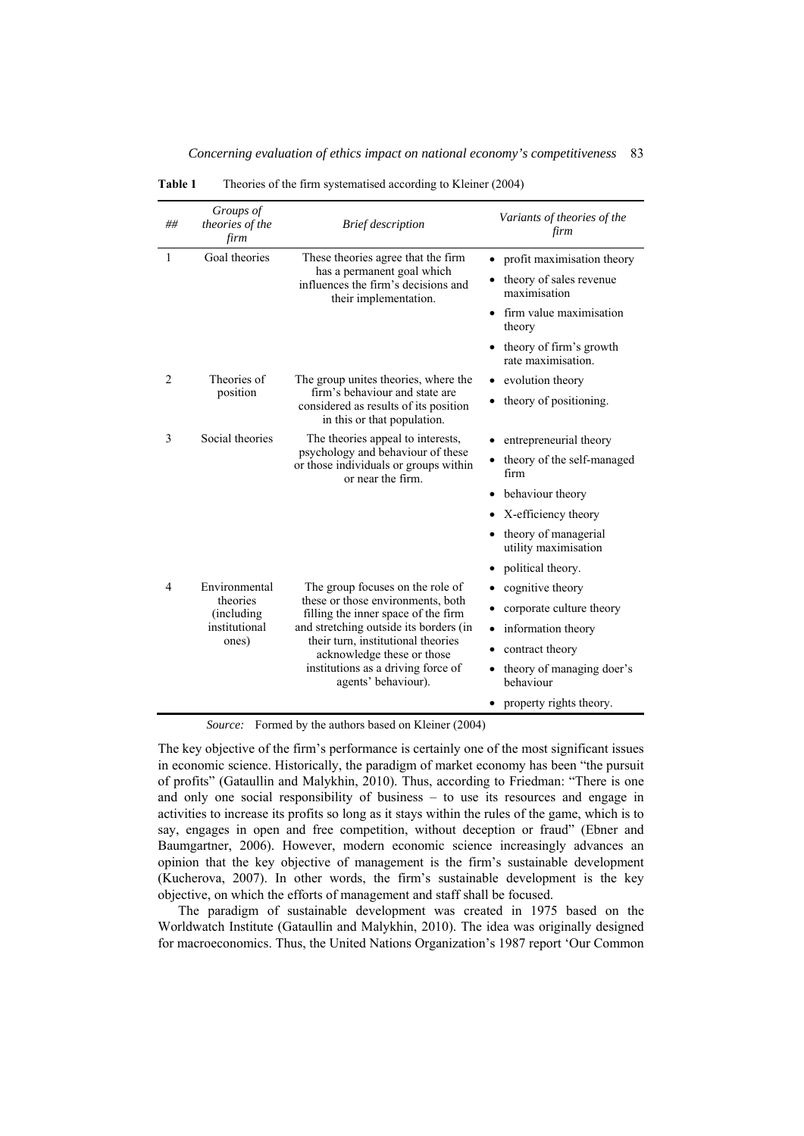| ##             | Groups of<br>theories of the<br>firm | <b>Brief</b> description                                                                                | Variants of theories of the<br>firm                   |
|----------------|--------------------------------------|---------------------------------------------------------------------------------------------------------|-------------------------------------------------------|
| 1              | Goal theories                        | These theories agree that the firm<br>has a permanent goal which<br>influences the firm's decisions and | profit maximisation theory<br>theory of sales revenue |
|                |                                      | their implementation.                                                                                   | maximisation<br>• firm value maximisation<br>theory   |
|                |                                      |                                                                                                         | • theory of firm's growth<br>rate maximisation.       |
| $\overline{2}$ | Theories of                          | The group unites theories, where the                                                                    | • evolution theory                                    |
|                | position                             | firm's behaviour and state are<br>considered as results of its position<br>in this or that population.  | theory of positioning.                                |
| 3              | Social theories                      | The theories appeal to interests,                                                                       | entrepreneurial theory                                |
|                |                                      | psychology and behaviour of these<br>or those individuals or groups within<br>or near the firm.         | theory of the self-managed<br>firm                    |
|                |                                      |                                                                                                         | behaviour theory                                      |
|                |                                      |                                                                                                         | X-efficiency theory                                   |
|                |                                      |                                                                                                         | • theory of managerial<br>utility maximisation        |
|                |                                      |                                                                                                         | political theory.                                     |
| 4              | Environmental                        | The group focuses on the role of                                                                        | cognitive theory<br>٠                                 |
|                | theories<br>(including)              | these or those environments, both<br>filling the inner space of the firm                                | corporate culture theory                              |
|                | institutional                        | and stretching outside its borders (in                                                                  | information theory<br>$\bullet$                       |
|                | ones)                                | their turn, institutional theories<br>acknowledge these or those                                        | contract theory                                       |
|                |                                      | institutions as a driving force of<br>agents' behaviour).                                               | • theory of managing doer's<br>behaviour              |
|                |                                      |                                                                                                         | property rights theory.                               |

**Table 1** Theories of the firm systematised according to Kleiner (2004)

*Source:* Formed by the authors based on Kleiner (2004)

The key objective of the firm's performance is certainly one of the most significant issues in economic science. Historically, the paradigm of market economy has been "the pursuit of profits" (Gataullin and Malykhin, 2010). Thus, according to Friedman: "There is one and only one social responsibility of business – to use its resources and engage in activities to increase its profits so long as it stays within the rules of the game, which is to say, engages in open and free competition, without deception or fraud" (Ebner and Baumgartner, 2006). However, modern economic science increasingly advances an opinion that the key objective of management is the firm's sustainable development (Kucherova, 2007). In other words, the firm's sustainable development is the key objective, on which the efforts of management and staff shall be focused.

The paradigm of sustainable development was created in 1975 based on the Worldwatch Institute (Gataullin and Malykhin, 2010). The idea was originally designed for macroeconomics. Thus, the United Nations Organization's 1987 report 'Our Common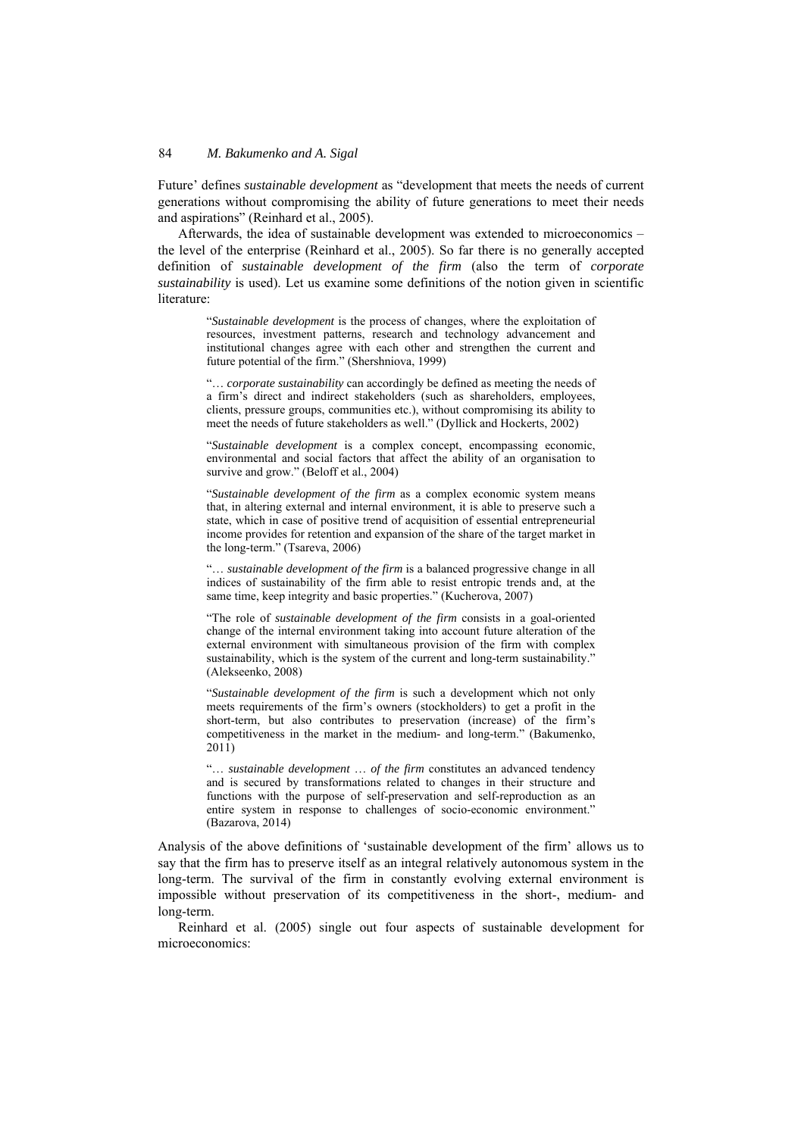Future' defines *sustainable development* as "development that meets the needs of current generations without compromising the ability of future generations to meet their needs and aspirations" (Reinhard et al., 2005).

Afterwards, the idea of sustainable development was extended to microeconomics – the level of the enterprise (Reinhard et al., 2005). So far there is no generally accepted definition of *sustainable development of the firm* (also the term of *corporate sustainability* is used). Let us examine some definitions of the notion given in scientific literature:

> "*Sustainable development* is the process of changes, where the exploitation of resources, investment patterns, research and technology advancement and institutional changes agree with each other and strengthen the current and future potential of the firm." (Shershniova, 1999)

> "… *corporate sustainability* can accordingly be defined as meeting the needs of a firm's direct and indirect stakeholders (such as shareholders, employees, clients, pressure groups, communities etc.), without compromising its ability to meet the needs of future stakeholders as well." (Dyllick and Hockerts, 2002)

> "*Sustainable development* is a complex concept, encompassing economic, environmental and social factors that affect the ability of an organisation to survive and grow." (Beloff et al., 2004)

> "*Sustainable development of the firm* as a complex economic system means that, in altering external and internal environment, it is able to preserve such a state, which in case of positive trend of acquisition of essential entrepreneurial income provides for retention and expansion of the share of the target market in the long-term." (Tsareva, 2006)

> "… *sustainable development of the firm* is a balanced progressive change in all indices of sustainability of the firm able to resist entropic trends and, at the same time, keep integrity and basic properties." (Kucherova, 2007)

> "The role of *sustainable development of the firm* consists in a goal-oriented change of the internal environment taking into account future alteration of the external environment with simultaneous provision of the firm with complex sustainability, which is the system of the current and long-term sustainability." (Alekseenko, 2008)

> "*Sustainable development of the firm* is such a development which not only meets requirements of the firm's owners (stockholders) to get a profit in the short-term, but also contributes to preservation (increase) of the firm's competitiveness in the market in the medium- and long-term." (Bakumenko, 2011)

> "… *sustainable development* … *of the firm* constitutes an advanced tendency and is secured by transformations related to changes in their structure and functions with the purpose of self-preservation and self-reproduction as an entire system in response to challenges of socio-economic environment." (Bazarova, 2014)

Analysis of the above definitions of 'sustainable development of the firm' allows us to say that the firm has to preserve itself as an integral relatively autonomous system in the long-term. The survival of the firm in constantly evolving external environment is impossible without preservation of its competitiveness in the short-, medium- and long-term.

Reinhard et al. (2005) single out four aspects of sustainable development for microeconomics: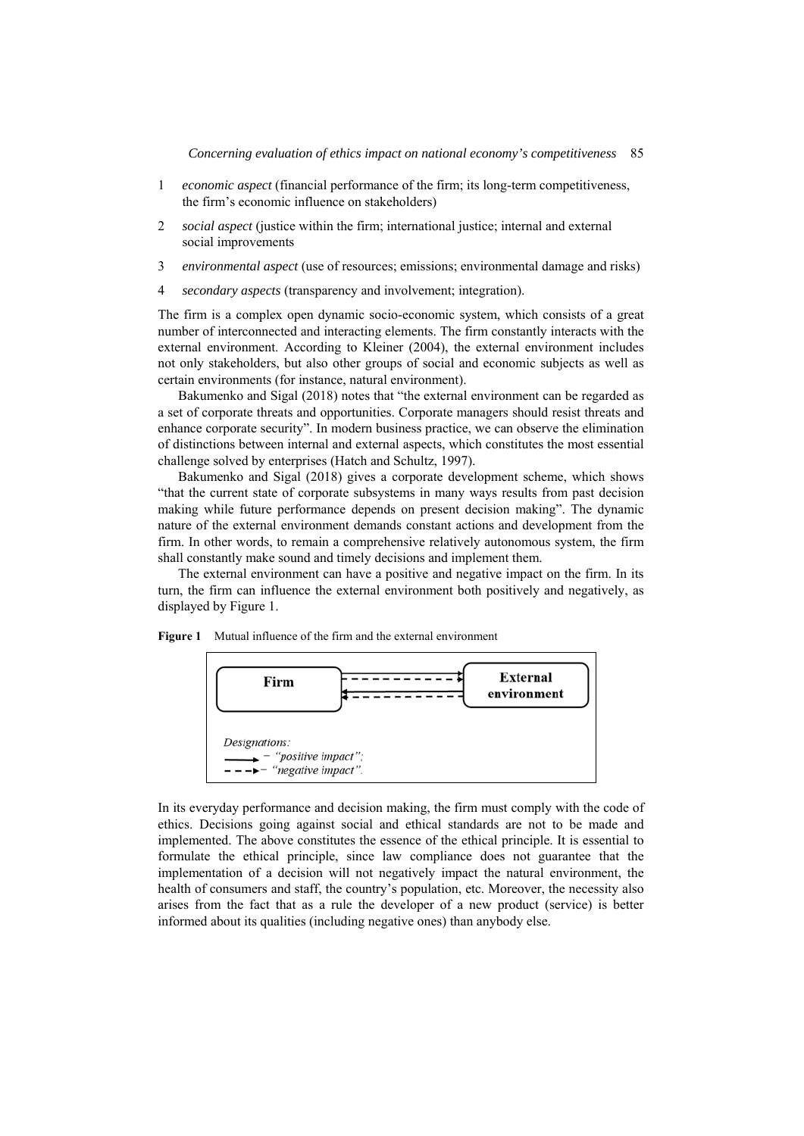- 1 *economic aspect* (financial performance of the firm; its long-term competitiveness, the firm's economic influence on stakeholders)
- 2 *social aspect* (justice within the firm; international justice; internal and external social improvements
- 3 *environmental aspect* (use of resources; emissions; environmental damage and risks)
- 4 *secondary aspects* (transparency and involvement; integration).

The firm is a complex open dynamic socio-economic system, which consists of a great number of interconnected and interacting elements. The firm constantly interacts with the external environment. According to Kleiner (2004), the external environment includes not only stakeholders, but also other groups of social and economic subjects as well as certain environments (for instance, natural environment).

Bakumenko and Sigal (2018) notes that "the external environment can be regarded as a set of corporate threats and opportunities. Corporate managers should resist threats and enhance corporate security". In modern business practice, we can observe the elimination of distinctions between internal and external aspects, which constitutes the most essential challenge solved by enterprises (Hatch and Schultz, 1997).

Bakumenko and Sigal (2018) gives a corporate development scheme, which shows "that the current state of corporate subsystems in many ways results from past decision making while future performance depends on present decision making". The dynamic nature of the external environment demands constant actions and development from the firm. In other words, to remain a comprehensive relatively autonomous system, the firm shall constantly make sound and timely decisions and implement them.

The external environment can have a positive and negative impact on the firm. In its turn, the firm can influence the external environment both positively and negatively, as displayed by Figure 1.





In its everyday performance and decision making, the firm must comply with the code of ethics. Decisions going against social and ethical standards are not to be made and implemented. The above constitutes the essence of the ethical principle. It is essential to formulate the ethical principle, since law compliance does not guarantee that the implementation of a decision will not negatively impact the natural environment, the health of consumers and staff, the country's population, etc. Moreover, the necessity also arises from the fact that as a rule the developer of a new product (service) is better informed about its qualities (including negative ones) than anybody else.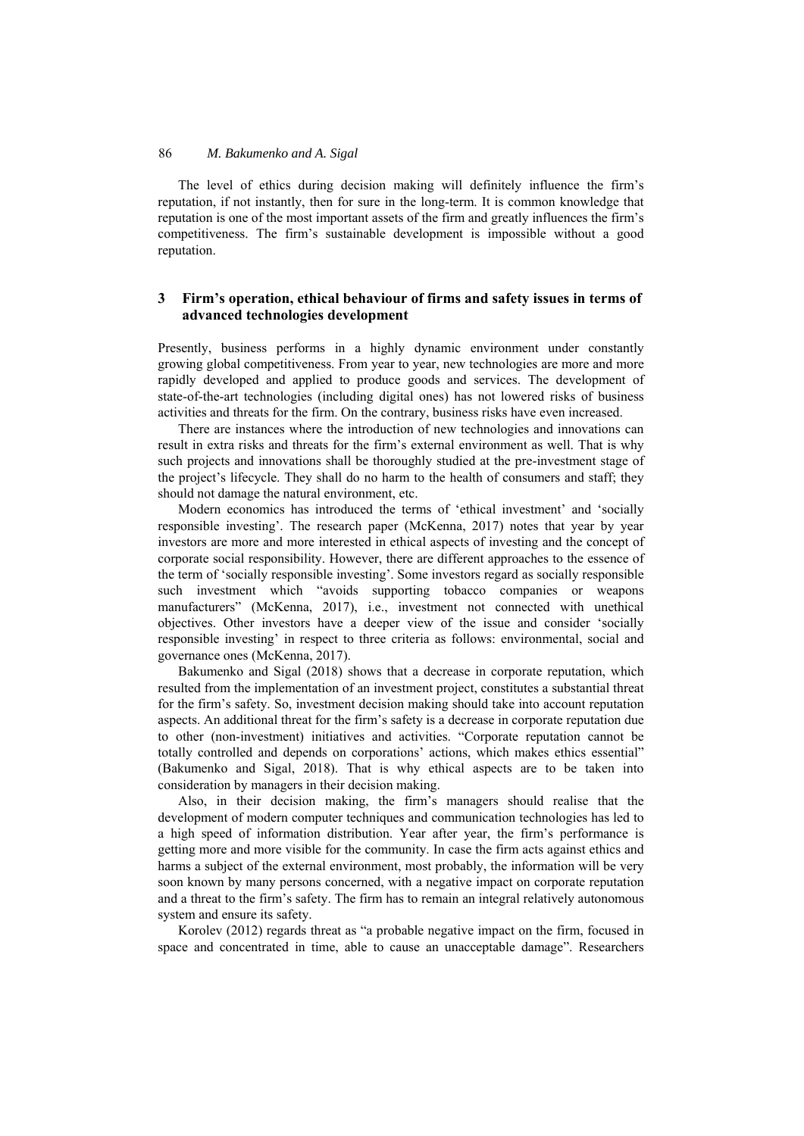The level of ethics during decision making will definitely influence the firm's reputation, if not instantly, then for sure in the long-term. It is common knowledge that reputation is one of the most important assets of the firm and greatly influences the firm's competitiveness. The firm's sustainable development is impossible without a good reputation.

## **3 Firm's operation, ethical behaviour of firms and safety issues in terms of advanced technologies development**

Presently, business performs in a highly dynamic environment under constantly growing global competitiveness. From year to year, new technologies are more and more rapidly developed and applied to produce goods and services. The development of state-of-the-art technologies (including digital ones) has not lowered risks of business activities and threats for the firm. On the contrary, business risks have even increased.

There are instances where the introduction of new technologies and innovations can result in extra risks and threats for the firm's external environment as well. That is why such projects and innovations shall be thoroughly studied at the pre-investment stage of the project's lifecycle. They shall do no harm to the health of consumers and staff; they should not damage the natural environment, etc.

Modern economics has introduced the terms of 'ethical investment' and 'socially responsible investing'. The research paper (McKenna, 2017) notes that year by year investors are more and more interested in ethical aspects of investing and the concept of corporate social responsibility. However, there are different approaches to the essence of the term of 'socially responsible investing'. Some investors regard as socially responsible such investment which "avoids supporting tobacco companies or weapons manufacturers" (McKenna, 2017), i.e., investment not connected with unethical objectives. Other investors have a deeper view of the issue and consider 'socially responsible investing' in respect to three criteria as follows: environmental, social and governance ones (McKenna, 2017).

Bakumenko and Sigal (2018) shows that a decrease in corporate reputation, which resulted from the implementation of an investment project, constitutes a substantial threat for the firm's safety. So, investment decision making should take into account reputation aspects. An additional threat for the firm's safety is a decrease in corporate reputation due to other (non-investment) initiatives and activities. "Corporate reputation cannot be totally controlled and depends on corporations' actions, which makes ethics essential" (Bakumenko and Sigal, 2018). That is why ethical aspects are to be taken into consideration by managers in their decision making.

Also, in their decision making, the firm's managers should realise that the development of modern computer techniques and communication technologies has led to a high speed of information distribution. Year after year, the firm's performance is getting more and more visible for the community. In case the firm acts against ethics and harms a subject of the external environment, most probably, the information will be very soon known by many persons concerned, with a negative impact on corporate reputation and a threat to the firm's safety. The firm has to remain an integral relatively autonomous system and ensure its safety.

Korolev (2012) regards threat as "a probable negative impact on the firm, focused in space and concentrated in time, able to cause an unacceptable damage". Researchers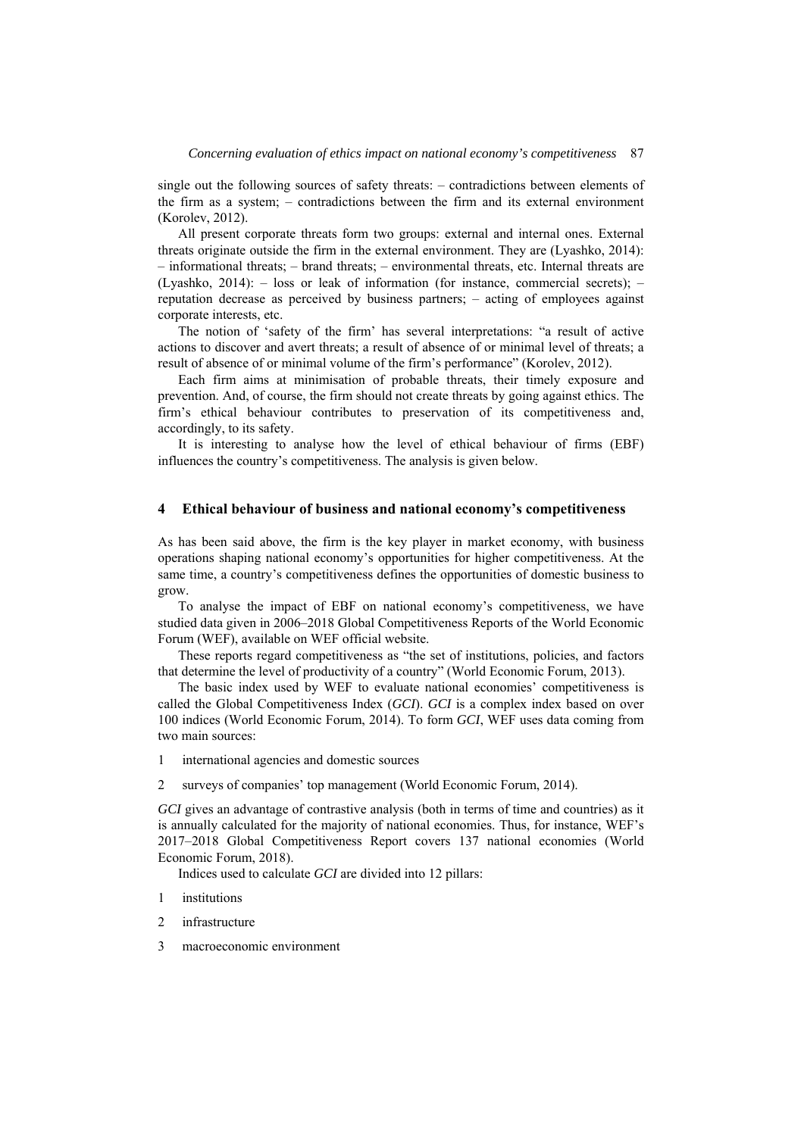single out the following sources of safety threats: – contradictions between elements of the firm as a system; – contradictions between the firm and its external environment (Korolev, 2012).

All present corporate threats form two groups: external and internal ones. External threats originate outside the firm in the external environment. They are (Lyashko, 2014): – informational threats; – brand threats; – environmental threats, etc. Internal threats are (Lyashko, 2014):  $-$  loss or leak of information (for instance, commercial secrets);  $$ reputation decrease as perceived by business partners; – acting of employees against corporate interests, etc.

The notion of 'safety of the firm' has several interpretations: "a result of active actions to discover and avert threats; a result of absence of or minimal level of threats; a result of absence of or minimal volume of the firm's performance" (Korolev, 2012).

Each firm aims at minimisation of probable threats, their timely exposure and prevention. And, of course, the firm should not create threats by going against ethics. The firm's ethical behaviour contributes to preservation of its competitiveness and, accordingly, to its safety.

It is interesting to analyse how the level of ethical behaviour of firms (EBF) influences the country's competitiveness. The analysis is given below.

#### **4 Ethical behaviour of business and national economy's competitiveness**

As has been said above, the firm is the key player in market economy, with business operations shaping national economy's opportunities for higher competitiveness. At the same time, a country's competitiveness defines the opportunities of domestic business to grow.

To analyse the impact of EBF on national economy's competitiveness, we have studied data given in 2006–2018 Global Competitiveness Reports of the World Economic Forum (WEF), available on WEF official website.

These reports regard competitiveness as "the set of institutions, policies, and factors that determine the level of productivity of a country" (World Economic Forum, 2013).

The basic index used by WEF to evaluate national economies' competitiveness is called the Global Competitiveness Index (*GCI*). *GCI* is a complex index based on over 100 indices (World Economic Forum, 2014). To form *GCI*, WEF uses data coming from two main sources:

- 1 international agencies and domestic sources
- 2 surveys of companies' top management (World Economic Forum, 2014).

*GCI* gives an advantage of contrastive analysis (both in terms of time and countries) as it is annually calculated for the majority of national economies. Thus, for instance, WEF's 2017–2018 Global Competitiveness Report covers 137 national economies (World Economic Forum, 2018).

Indices used to calculate *GCI* are divided into 12 pillars:

- 1 institutions
- 2 infrastructure
- 3 macroeconomic environment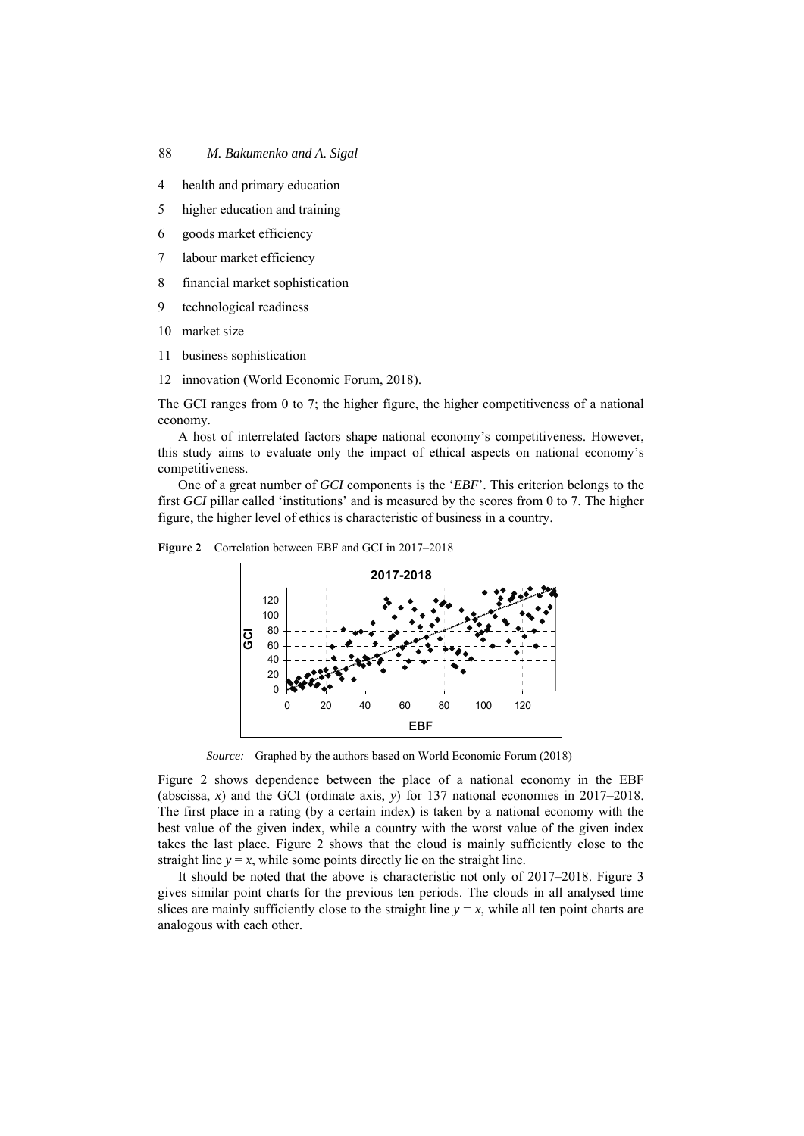- 4 health and primary education
- 5 higher education and training
- 6 goods market efficiency
- 7 labour market efficiency
- 8 financial market sophistication
- 9 technological readiness
- 10 market size
- 11 business sophistication
- 12 innovation (World Economic Forum, 2018).

The GCI ranges from 0 to 7; the higher figure, the higher competitiveness of a national economy.

A host of interrelated factors shape national economy's competitiveness. However, this study aims to evaluate only the impact of ethical aspects on national economy's competitiveness.

One of a great number of *GCI* components is the '*EBF*'. This criterion belongs to the first *GCI* pillar called 'institutions' and is measured by the scores from 0 to 7. The higher figure, the higher level of ethics is characteristic of business in a country.

**Figure 2** Correlation between EBF and GCI in 2017–2018



*Source:* Graphed by the authors based on World Economic Forum (2018)

Figure 2 shows dependence between the place of a national economy in the EBF (abscissa, *x*) and the GCI (ordinate axis, *y*) for 137 national economies in 2017–2018. The first place in a rating (by a certain index) is taken by a national economy with the best value of the given index, while a country with the worst value of the given index takes the last place. Figure 2 shows that the cloud is mainly sufficiently close to the straight line  $y = x$ , while some points directly lie on the straight line.

It should be noted that the above is characteristic not only of 2017–2018. Figure 3 gives similar point charts for the previous ten periods. The clouds in all analysed time slices are mainly sufficiently close to the straight line  $y = x$ , while all ten point charts are analogous with each other.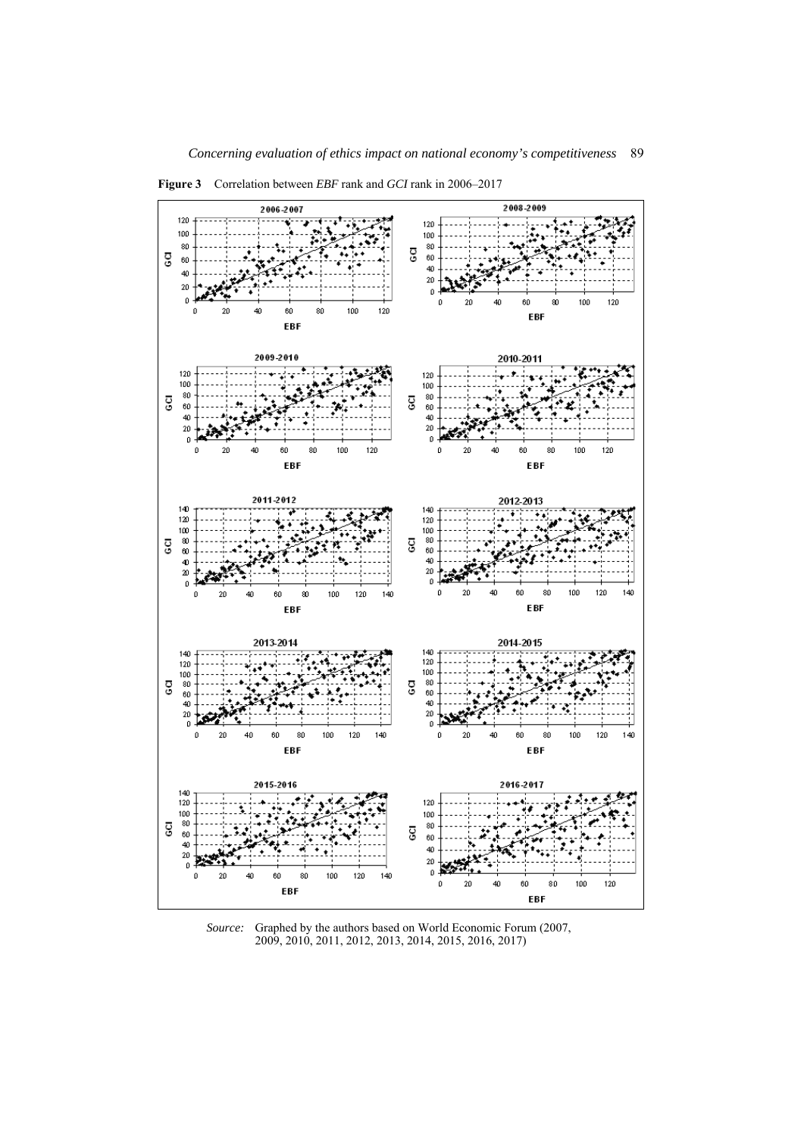

**Figure 3** Correlation between *EBF* rank and *GCI* rank in 2006–2017

*Source:* Graphed by the authors based on World Economic Forum (2007, 2009, 2010, 2011, 2012, 2013, 2014, 2015, 2016, 2017)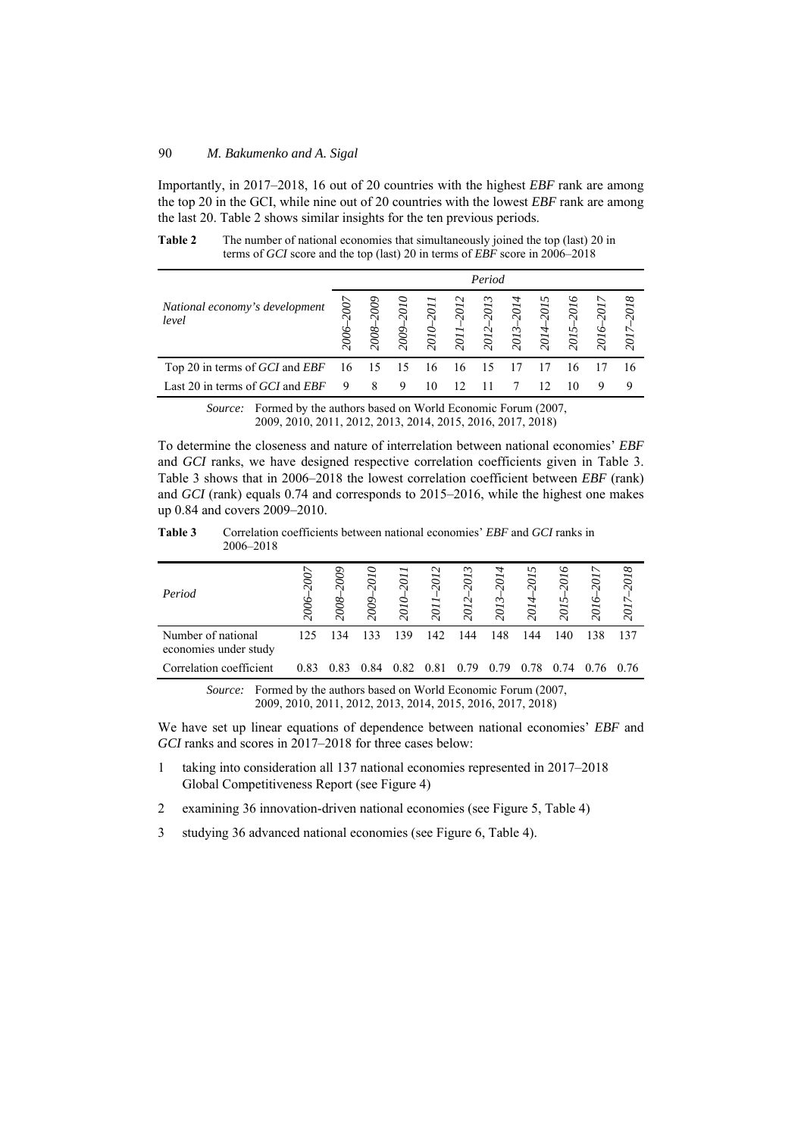Importantly, in 2017–2018, 16 out of 20 countries with the highest *EBF* rank are among the top 20 in the GCI, while nine out of 20 countries with the lowest *EBF* rank are among the last 20. Table 2 shows similar insights for the ten previous periods.

**Table 2** The number of national economies that simultaneously joined the top (last) 20 in terms of *GCI* score and the top (last) 20 in terms of *EBF* score in 2006–2018

|                                         |              |              |              |                     |              | Period       |              |              |              |              |             |
|-----------------------------------------|--------------|--------------|--------------|---------------------|--------------|--------------|--------------|--------------|--------------|--------------|-------------|
| National economy's development<br>level | 2007<br>2006 | 2009<br>2008 | 2010<br>2009 | <b>2011</b><br>2010 | 2012<br>2011 | 2013<br>2012 | 2014<br>2013 | 2015<br>2014 | 2016<br>2015 | 2017<br>2016 | 201<br>2017 |
| Top 20 in terms of GCI and EBF          | 16           | 15           | 15           | 16                  | 16           |              |              |              | 16           |              | 16          |
| Last 20 in terms of GCI and EBF         |              |              | 9            | 10                  |              |              |              |              |              |              |             |

*Source:* Formed by the authors based on World Economic Forum (2007, 2009, 2010, 2011, 2012, 2013, 2014, 2015, 2016, 2017, 2018)

To determine the closeness and nature of interrelation between national economies' *EBF* and *GCI* ranks, we have designed respective correlation coefficients given in Table 3. Table 3 shows that in 2006–2018 the lowest correlation coefficient between *EBF* (rank) and *GCI* (rank) equals 0.74 and corresponds to 2015–2016, while the highest one makes up 0.84 and covers 2009–2010.

**Table 3** Correlation coefficients between national economies' *EBF* and *GCI* ranks in 2006–2018

| Period                                      | 2007<br>2006 | 2009<br>2008 | <b>010</b><br>2009 | 2011<br>2010 | 2012<br>2011 | 2013<br>2012 | 2014<br>2013 | 2015<br>2014 | 2016<br>2015 | 2017<br>2016 | 2018<br>2017- |
|---------------------------------------------|--------------|--------------|--------------------|--------------|--------------|--------------|--------------|--------------|--------------|--------------|---------------|
| Number of national<br>economies under study | 125          | 134          | 133                | 139          | 142          | 144          | 148          | 144          | 140          | 138          | 137           |
| Correlation coefficient                     |              |              |                    |              |              | 79           | 0.79         |              | 0.74         |              | 0.76          |

*Source:* Formed by the authors based on World Economic Forum (2007, 2009, 2010, 2011, 2012, 2013, 2014, 2015, 2016, 2017, 2018)

We have set up linear equations of dependence between national economies' *EBF* and *GCI* ranks and scores in 2017–2018 for three cases below:

- 1 taking into consideration all 137 national economies represented in 2017–2018 Global Competitiveness Report (see Figure 4)
- 2 examining 36 innovation-driven national economies (see Figure 5, Table 4)
- 3 studying 36 advanced national economies (see Figure 6, Table 4).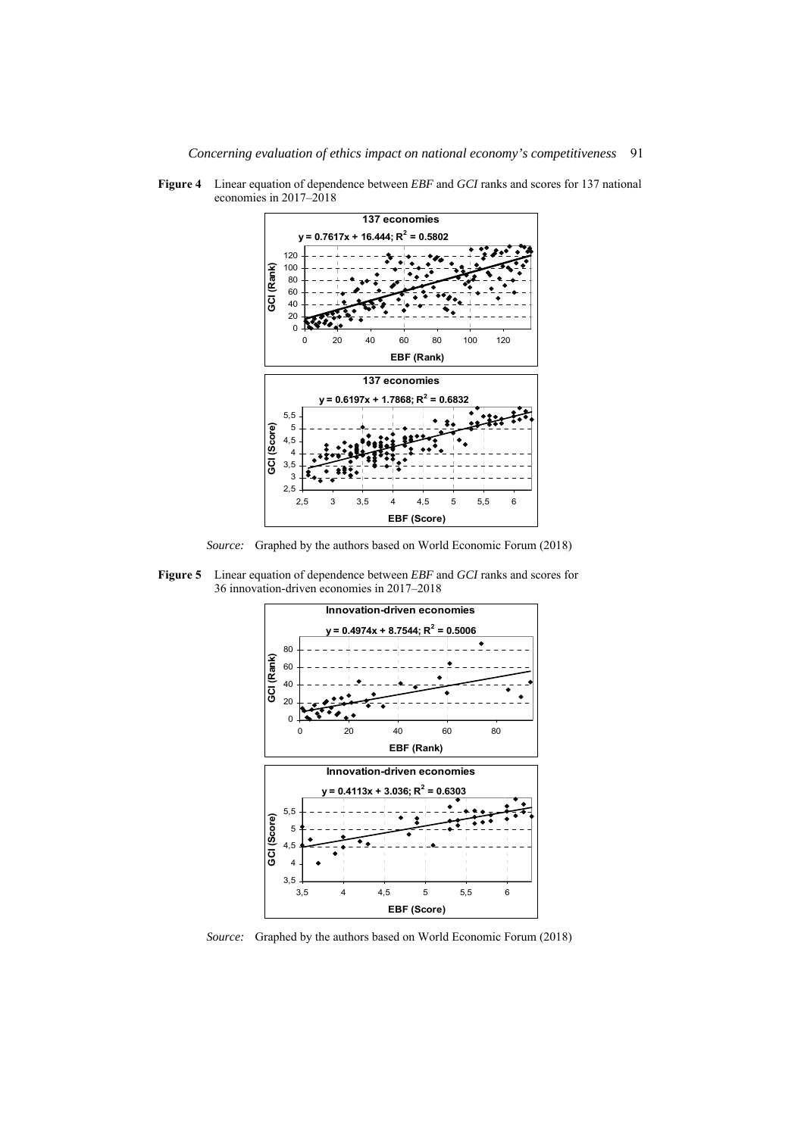



*Source:* Graphed by the authors based on World Economic Forum (2018)

**Figure 5** Linear equation of dependence between *EBF* and *GCI* ranks and scores for 36 innovation-driven economies in 2017–2018



*Source:* Graphed by the authors based on World Economic Forum (2018)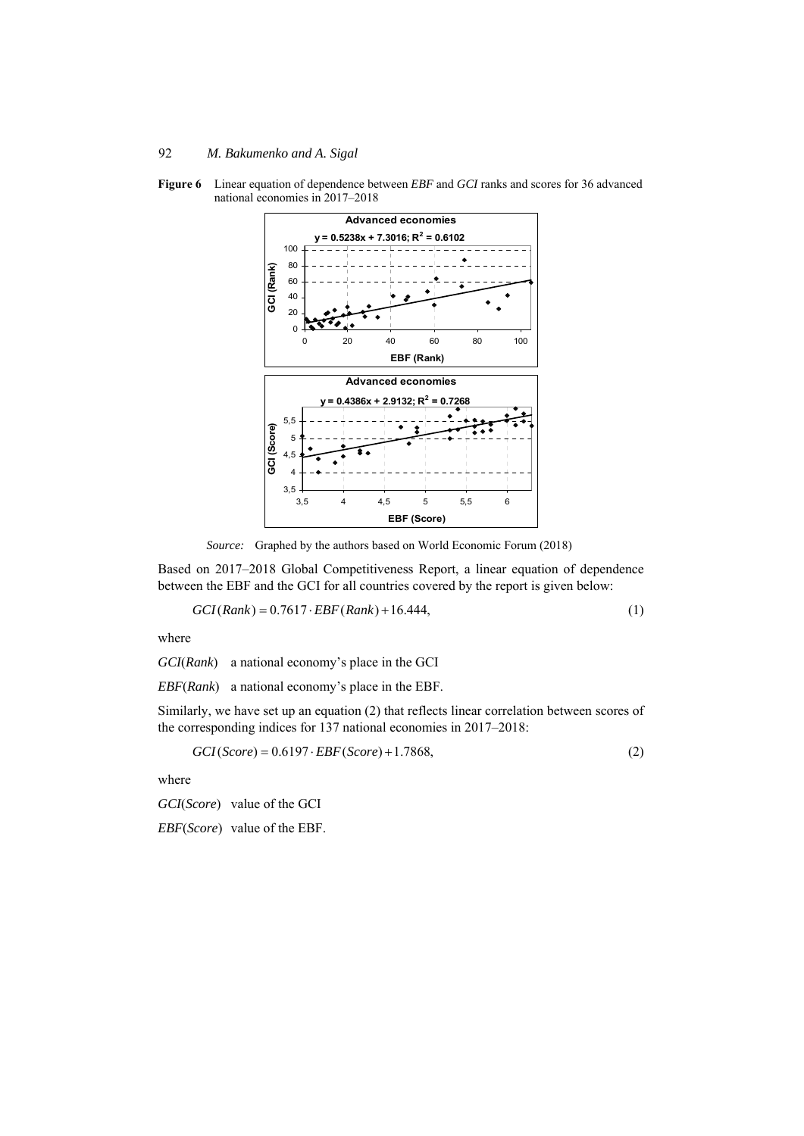### 92 *M. Bakumenko and A. Sigal*

**Figure 6** Linear equation of dependence between *EBF* and *GCI* ranks and scores for 36 advanced national economies in 2017–2018



*Source:* Graphed by the authors based on World Economic Forum (2018)

Based on 2017–2018 Global Competitiveness Report, a linear equation of dependence between the EBF and the GCI for all countries covered by the report is given below:

$$
GCI(Rank) = 0.7617 \cdot EBF(Rank) + 16.444,\tag{1}
$$

where

*GCI*(*Rank*) a national economy's place in the GCI

*EBF*(*Rank*) a national economy's place in the EBF.

Similarly, we have set up an equation (2) that reflects linear correlation between scores of the corresponding indices for 137 national economies in 2017–2018:

$$
GCI(Score) = 0.6197 \cdot EBF(Score) + 1.7868,\tag{2}
$$

where

*GCI*(*Score*) value of the GCI

*EBF*(*Score*) value of the EBF.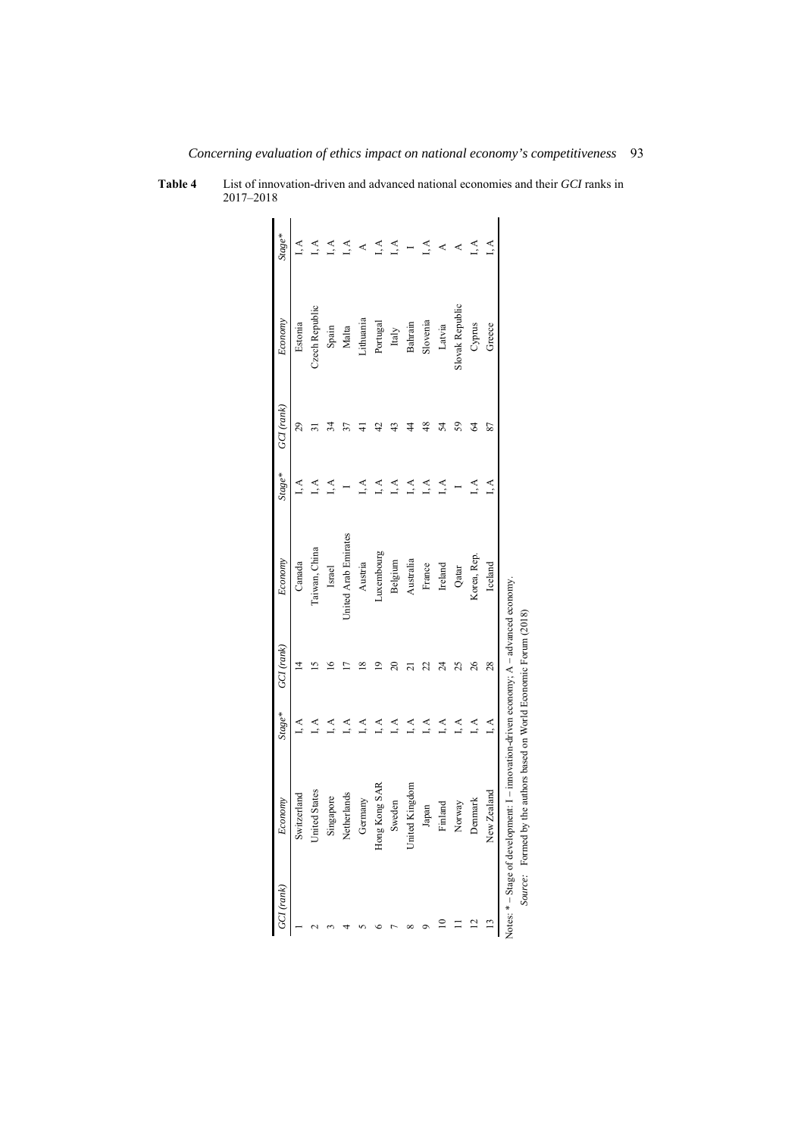| (rank) | Economy                                                                                   | $Stage *$ | GCI (rank)     | Economy              | $Stage *$ | GCI (rank) | Economy         | $Stage *$               |
|--------|-------------------------------------------------------------------------------------------|-----------|----------------|----------------------|-----------|------------|-----------------|-------------------------|
|        | Switzerland                                                                               | L, A      | $\overline{4}$ | Canada               | L, A      | 29         | Estonia         | Ļ,                      |
|        | United States                                                                             | I, A      |                | Taiwan, China        | L, A      |            | Czech Republic  | I, A                    |
|        | Singapore                                                                                 | L, A      | ≌              | Israel               | ۸.        |            | Spain           | I, $A$                  |
|        | erlands<br>Neth                                                                           | L, A      |                | Jnited Arab Emirates |           |            | Malta           | $\mathbf{I},\mathbf{A}$ |
|        | Germany                                                                                   | 1, A      |                | Austria              | L, A      |            | Lithuania       | ≺                       |
|        | Long SAR<br>Hong K                                                                        | Ι,        |                | Luxembourg           | L, A      |            | Portugal        | $\mathbf{I},\mathbf{A}$ |
|        | Sweden                                                                                    | L, A      |                | Belgium              | I, A      |            | Italy           | I, A                    |
|        | Kingdom<br>United                                                                         | L, A      |                | Australia            | L, A      |            | Bahrain         |                         |
|        | Japan                                                                                     | L, A      |                | France               | L, A      |            | Slovenia        | I, A                    |
|        | Finland                                                                                   | L, A      | 24             | Ireland              | L, A      |            | Latvia          | ⋖                       |
|        | Norway                                                                                    | Ι, Α      |                | Qatar                |           | 39         | Slovak Republic | ⋖                       |
|        | Denmark                                                                                   | I, A      | 26             | Korea, Rep.          | Ι, Α      | 3          | Cyprus          | I, A                    |
|        | New Zealand                                                                               | I, A      | 28             | Iceland              | I, A      | 87         | Greece          | Ļ,                      |
|        | Notes: $*$ – Stage of development: I – innovation-driven economy; $A$ – advanced economy. |           |                |                      |           |            |                 |                         |

Source: Formed by the authors based on World Economic Forum (2018) *Source:* Formed by the authors based on World Economic Forum (2018)

**Table 4** List of innovation-driven and advanced national economies and their *GCI* ranks in 2017–2018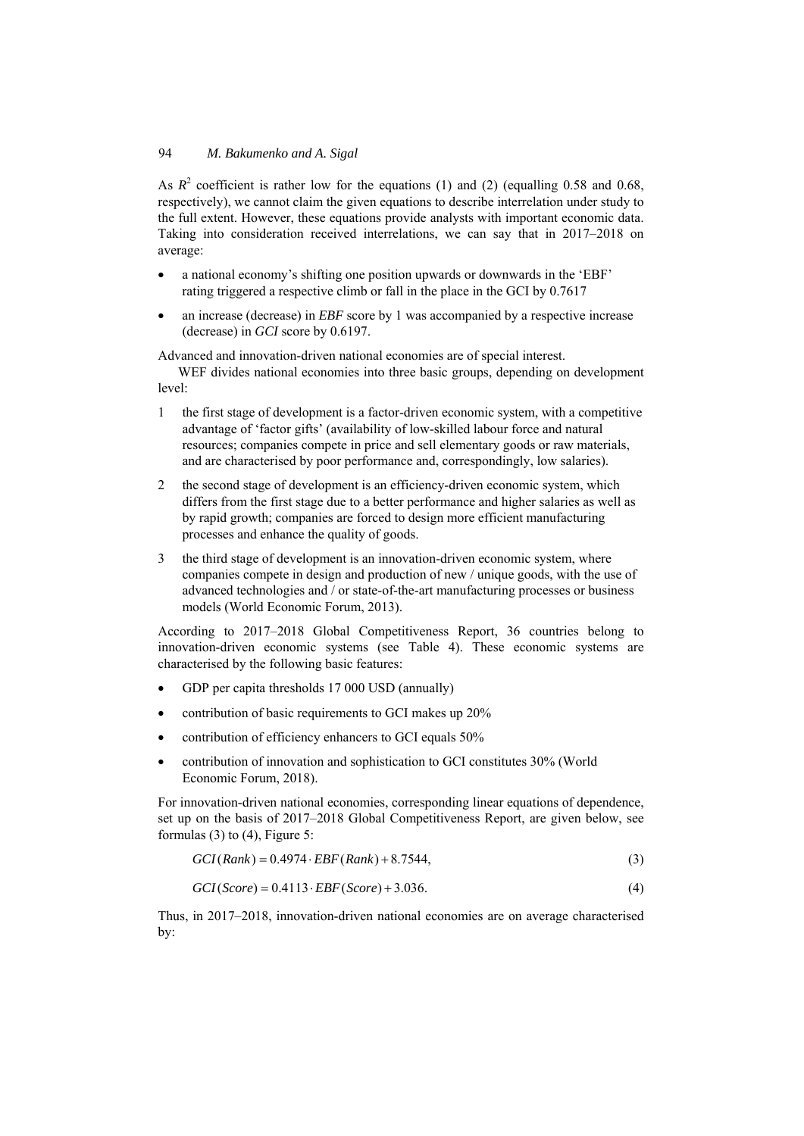As  $R^2$  coefficient is rather low for the equations (1) and (2) (equalling 0.58 and 0.68, respectively), we cannot claim the given equations to describe interrelation under study to the full extent. However, these equations provide analysts with important economic data. Taking into consideration received interrelations, we can say that in 2017–2018 on average:

- a national economy's shifting one position upwards or downwards in the 'EBF' rating triggered a respective climb or fall in the place in the GCI by 0.7617
- an increase (decrease) in *EBF* score by 1 was accompanied by a respective increase (decrease) in *GCI* score by 0.6197.

Advanced and innovation-driven national economies are of special interest.

WEF divides national economies into three basic groups, depending on development level:

- 1 the first stage of development is a factor-driven economic system, with a competitive advantage of 'factor gifts' (availability of low-skilled labour force and natural resources; companies compete in price and sell elementary goods or raw materials, and are characterised by poor performance and, correspondingly, low salaries).
- 2 the second stage of development is an efficiency-driven economic system, which differs from the first stage due to a better performance and higher salaries as well as by rapid growth; companies are forced to design more efficient manufacturing processes and enhance the quality of goods.
- 3 the third stage of development is an innovation-driven economic system, where companies compete in design and production of new / unique goods, with the use of advanced technologies and / or state-of-the-art manufacturing processes or business models (World Economic Forum, 2013).

According to 2017–2018 Global Competitiveness Report, 36 countries belong to innovation-driven economic systems (see Table 4). These economic systems are characterised by the following basic features:

- GDP per capita thresholds 17 000 USD (annually)
- contribution of basic requirements to GCI makes up 20%
- contribution of efficiency enhancers to GCI equals 50%
- contribution of innovation and sophistication to GCI constitutes 30% (World Economic Forum, 2018).

For innovation-driven national economies, corresponding linear equations of dependence, set up on the basis of 2017–2018 Global Competitiveness Report, are given below, see formulas  $(3)$  to  $(4)$ , Figure 5:

$$
GCI(Rank) = 0.4974 \cdot EBF(Rank) + 8.7544,
$$
\n
$$
(3)
$$

$$
GCI(Score) = 0.4113 \cdot EBF(Score) + 3.036. \tag{4}
$$

Thus, in 2017–2018, innovation-driven national economies are on average characterised by: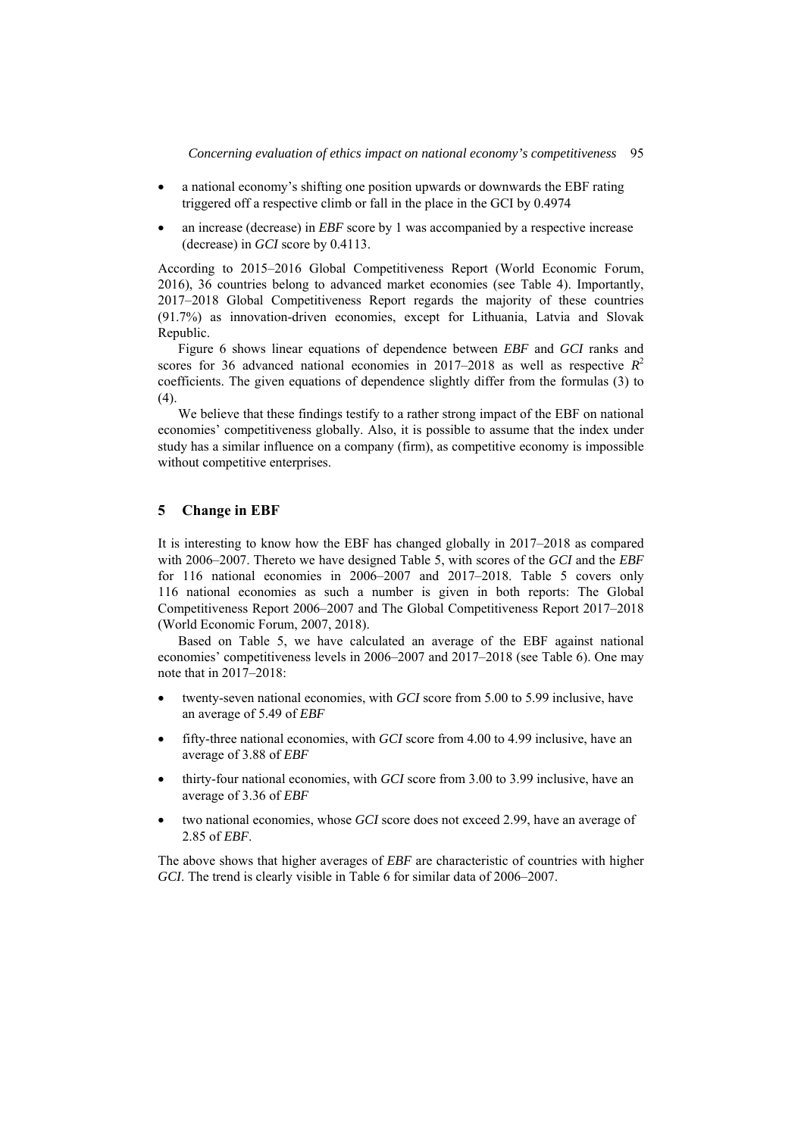- a national economy's shifting one position upwards or downwards the EBF rating triggered off a respective climb or fall in the place in the GCI by 0.4974
- an increase (decrease) in *EBF* score by 1 was accompanied by a respective increase (decrease) in *GCI* score by 0.4113.

According to 2015–2016 Global Competitiveness Report (World Economic Forum, 2016), 36 countries belong to advanced market economies (see Table 4). Importantly, 2017–2018 Global Competitiveness Report regards the majority of these countries (91.7%) as innovation-driven economies, except for Lithuania, Latvia and Slovak Republic.

Figure 6 shows linear equations of dependence between *EBF* and *GCI* ranks and scores for 36 advanced national economies in 2017–2018 as well as respective  $R^2$ coefficients. The given equations of dependence slightly differ from the formulas (3) to  $(4).$ 

We believe that these findings testify to a rather strong impact of the EBF on national economies' competitiveness globally. Also, it is possible to assume that the index under study has a similar influence on a company (firm), as competitive economy is impossible without competitive enterprises.

## **5 Change in EBF**

It is interesting to know how the EBF has changed globally in 2017–2018 as compared with 2006–2007. Thereto we have designed Table 5, with scores of the *GCI* and the *EBF* for 116 national economies in 2006–2007 and 2017–2018. Table 5 covers only 116 national economies as such a number is given in both reports: The Global Competitiveness Report 2006–2007 and The Global Competitiveness Report 2017–2018 (World Economic Forum, 2007, 2018).

Based on Table 5, we have calculated an average of the EBF against national economies' competitiveness levels in 2006–2007 and 2017–2018 (see Table 6). One may note that in 2017–2018:

- twenty-seven national economies, with *GCI* score from 5.00 to 5.99 inclusive, have an average of 5.49 of *EBF*
- fifty-three national economies, with *GCI* score from 4.00 to 4.99 inclusive, have an average of 3.88 of *EBF*
- thirty-four national economies, with *GCI* score from 3.00 to 3.99 inclusive, have an average of 3.36 of *EBF*
- two national economies, whose *GCI* score does not exceed 2.99, have an average of 2.85 of *EBF*.

The above shows that higher averages of *EBF* are characteristic of countries with higher *GCI*. The trend is clearly visible in Table 6 for similar data of 2006–2007.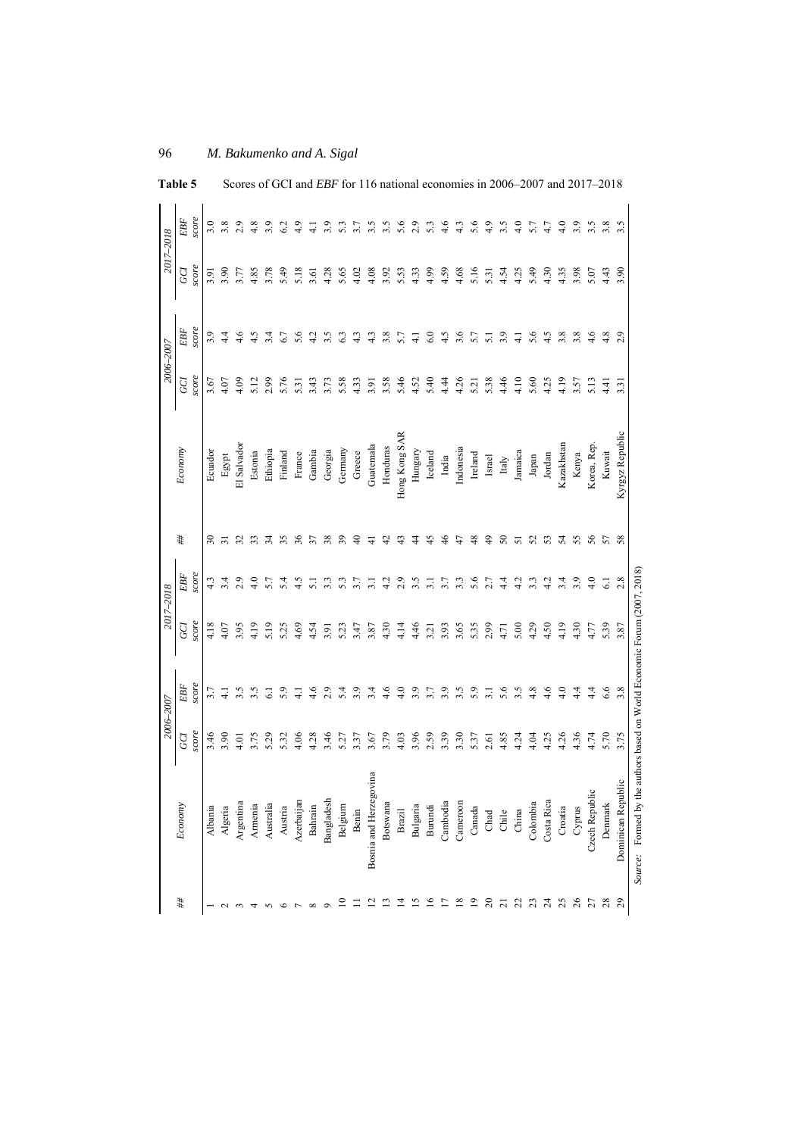|                |                                                                          |       | 2006-2007     |            | 2017-2018        |                          |                 | 2006-2007   |               | 2017-2018 |               |
|----------------|--------------------------------------------------------------------------|-------|---------------|------------|------------------|--------------------------|-----------------|-------------|---------------|-----------|---------------|
| ##             | Economy                                                                  | GCI   | $EBF$         | <b>GCI</b> | <b>EBF</b>       | ##                       | Economy         | <b>GCI</b>  | EBF           | GCI       | <b>EBF</b>    |
|                |                                                                          | score | score         | score      | score            |                          |                 | score       | score         | score     | score         |
|                | Albania                                                                  | 3.46  | 3.7           | 4.18       | 4.3              | $\overline{\mathbf{30}}$ | Ecuador         | 3.67        | 3.9           | 3.91      | 3.0           |
|                | Algeria                                                                  | 3.90  | 급             | 4.07       | 3.4              |                          | Egypt           | 4.07        |               | 3.90      | 3.8           |
|                | Argentina                                                                | 4.01  | 3.5           | 3.95       | 2.9              | 32                       | El Salvador     | 4.09        | 4.<br>4       | 3.77      | 2.9           |
|                | Armenia                                                                  | 3.75  | 3.5           | 4.19       | $\frac{0}{4}$    | ౫                        | Estonia         | 5.12        |               | 4.85      | 4.8           |
|                | Australia                                                                | 5.29  | ತ             | 5.19       | 5.7              | 24                       | Ethiopia        | 2.99        |               | 3.78      | 3.9           |
|                | Austria                                                                  | 5.32  | 5.9           | 5.25       | 5.4              | 35                       | Finland         | 5.76        |               | 5.49      | 6.2           |
|                | Azerbaijan                                                               | 4.06  |               | 4.69       | 4.5              | 36                       | France          | 5.31        | 5.6           | 5.18      | 4.9           |
|                | Bahrain                                                                  | 4.28  | $\frac{6}{4}$ | 4.54       | ಸ                | 37                       | Gambia          | 3.43        |               | 3.61      |               |
|                | Bangladesh                                                               | 3.46  | 2.9           | 3.91       | 3.3              | $\frac{8}{3}$            | Georgia         | 3.73        |               | 4.28      | 3.9           |
| ≘              | Belgium                                                                  | 5.27  |               | 5.23       | 5.3              | 59                       | Germany         | 5.58        |               | 5.65      | 5.3           |
|                | Benin                                                                    | 3.37  | 3.9           | 3.47       | 3.7              |                          | Greece          | 4.33        |               | 4.02      |               |
| ≌              | Bosnia and Herzegovina                                                   | 3.67  | 3.4           | 3.87       | $\overline{31}$  |                          | Guatemala       | 3.91        |               | 4.08      | 3.5           |
|                | Botswana                                                                 | 3.79  |               | 4.30       | 4.2              |                          | Honduras        | 3.58        |               | 3.92      | 3.5           |
| 4              | Brazil                                                                   | 4.03  |               | 4.14       | 2.9              |                          | Hong Kong SAR   | 5.46        |               | 5.53      | 5.6           |
| ≌              | Bulgaria                                                                 | 3.96  | 3.9           | 4.46       | 3.5              |                          | Hungary         | 4.52        |               | 4.33      | 2.9           |
| $\tilde{=}$    | Burundi                                                                  | 2.59  | 3.7           | 3.21       | $\overline{31}$  |                          | Iceland         | 5.40        | $\rm ^{6.0}$  | 4.99      | 5.3           |
| 17             | Cambodia                                                                 | 3.39  | 3.9           | 3.93       | 3.7              |                          | India           | 4.44        | 4.5           | 4.59      | 4.6           |
| $\approx$      | Cameroon                                                                 | 3.30  | 3.5           | 3.65       | 3.3              |                          | Indonesia       | 4.26        | 3.6           | 4.68      | 4.3           |
| $\tilde{=}$    | Canada                                                                   | 5.37  | 5.9           | 5.35       | 5.6              |                          | Ireland         | 5.21        | 5.7           | 5.16      | 5.6           |
| $\overline{c}$ | Chad                                                                     | 2.61  | ಸ             | 2.99       | 2.7              | ্র                       | Israel          | 5.38        |               | 5.31      | 4.9           |
| $\overline{z}$ | Chile                                                                    | 4.85  | 5.6           | 4.71       | 4.4              | ິລ                       | Italy           | 4.46        | 3.9           | 4.54      | 3.5           |
| 22             | China                                                                    | 4.24  | 3.5           | 5.00       | 4.2              |                          | Jamaica         | 4.10        |               | 4.25      | $\frac{0}{4}$ |
| 23             | Colombia                                                                 | 4.04  | 4.8           | 4.29       | $3.\overline{3}$ | 25                       | Japan           | 5.60        | 5.6           | 5.49      |               |
| 24             | Costa Rica                                                               | 4.25  | $\frac{6}{4}$ | 4.50       | 4.2              | 53                       | Jordan          | 4.25        |               | 4.30      |               |
| 25             | Croatia                                                                  | 4.26  |               | 4.19       | 3.4              | 54                       | Kazakhstan      | 4.19        | 3.8           | 4.35      | $\frac{0}{4}$ |
| 26             | Cyprus                                                                   | 4.36  | प.<br>प       | 4.30       | 3.9              | 55                       | Kenya           | 3.57        | 3.8           | 3.98      | 3.9           |
| 27             | Czech Republic                                                           | 4.74  | 4.            | 4.77       | 4.0              | 56                       | Korea, Rep.     | 5.13        | $\frac{6}{4}$ | 5.07      | 3.5           |
| 28             | Denmark                                                                  | 5.70  | 6.6           | 5.39       | $\overline{5}$   | 57                       | Kuwait          | $rac{4}{4}$ | 4.8           | 4.43      | 3.8           |
| 29             | Dominican Republic                                                       | 3.75  | 3.8           | 3.87       | 2.8              | 58                       | Kyrgyz Republic | 3.31        | 2.9           | 3.90      | 3.5           |
|                | Source: Formed by the authors based on World Economic Forum (2007, 2018) |       |               |            |                  |                          |                 |             |               |           |               |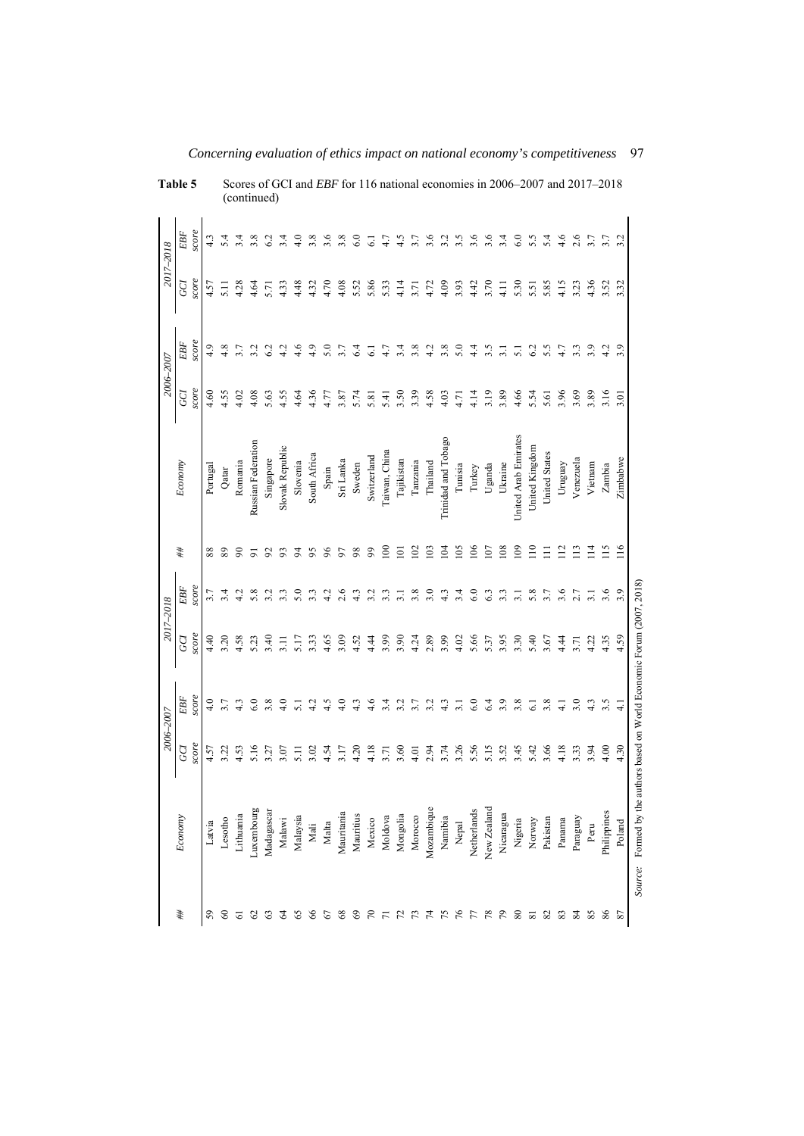|                             |                                                                          |                  | 2006-2007     |                  | 2017-2018                      |                |                      | 2006-2007 |         | 2017-2018        |                                |
|-----------------------------|--------------------------------------------------------------------------|------------------|---------------|------------------|--------------------------------|----------------|----------------------|-----------|---------|------------------|--------------------------------|
| ##                          | Economy                                                                  | GCI              | EBF           | GCI              | <b>EBF</b>                     | ##             | Economy              | GCI       | EBF     | GCI              | <b>EBF</b>                     |
|                             |                                                                          | score            | score         | score            | score                          |                |                      | score     | score   | score            | score                          |
|                             | Latvia                                                                   | 4.57             | 4.0           | 4.40             | 3.7                            | 88             | Portugal             | 4.60      | 4.9     | 4.57             | 4.3                            |
| 3                           | Lesotho                                                                  | 3.22             |               | 3.20             |                                | 89             | Qatar                | 4.55      |         | $\overline{5}$ . | 5.4                            |
| 6                           | Lithuania                                                                | 4.53             |               | 4.58             |                                | $\infty$       | Romania              | 4.02      |         | 4.28             | 3.4                            |
|                             | Luxembour                                                                | 5.16             | $\rm ^{6.0}$  | 5.23             |                                | ಸ              | Russian Federation   | 4.08      |         | 4.64             | 3.8                            |
|                             | eo H<br>Madagasca                                                        | 3.27             |               | 3.40             |                                | $\mathcal{S}$  | Singapore            | 5.63      |         | 5.71             | 6.2                            |
|                             | Malawi                                                                   | 3.07             |               | $\overline{3}$ . |                                | 93             | Slovak Republic      | 4.55      |         | 4.33             |                                |
|                             | Malaysia                                                                 | $\overline{5}$ . |               | 5.17             |                                | $\overline{5}$ | Slovenia             | 4.64      | 4.6     | 4.48             | $\frac{0}{4}$                  |
| 8                           | Mali                                                                     | 3.02             |               | 3.33             |                                | 95             | South Africa         | 4.36      | 4.9     | 4.32             |                                |
|                             | Malta                                                                    | 4.54             |               | 4.65             |                                | 96             | Spain                | 4.77      | 5.0     | 4.70             | 3.6                            |
| $\frac{8}{3}$               | Mauritania                                                               | 3.17             |               | 3.09             |                                | 57             | Sri Lanka            | 3.87      |         | 4.08             |                                |
| 3                           | Mauritius                                                                | 4.20             |               | 4.52             |                                | 98             | Sweden               | 5.74      | ه.<br>٥ | 5.52             | $\overset{\circ}{\varepsilon}$ |
| $\sqrt{2}$                  | Mexico                                                                   | 4.18             |               | 4.44             |                                | 99             | Switzerland          | 5.81      | .<br>ت  | 5.86             | ی                              |
| $\overline{r}$              | Moldova                                                                  | 3.71             | 3.4           | 3.99             | $\ddot{3}$                     | $\approx$      | Taiwan, China        | 5.41      |         | 5.33             | 4.7                            |
| $\mathcal{L}$               | Mongolia                                                                 | 3.60             |               | 3.90             |                                | $\overline{0}$ | Tajikistan           | 3.50      |         | 4.14             |                                |
| 52                          | Morocco                                                                  | 4.01             |               | 4.24             |                                | $\approx$      | Tanzania             | 3.39      |         | 3.71             |                                |
| $\mathcal{F}_{\mathcal{A}}$ | $\overline{\mathbb{Q}}$<br>Mozambiqu                                     | 2.94             |               | 2.89             | $\dot{3.0}$                    | $\Xi$          | Thailand             | 4.58      |         | 4.72             | 3.6                            |
| 75                          | Namibia                                                                  | 3.74             | 4.3           | 3.99             | 4.3                            | $\overline{6}$ | Trinidad and Tobago  | 4.03      | 3.8     | 4.09             |                                |
| $\frac{2}{16}$              | Nepal                                                                    | 3.26             |               | 4.02             | 3.4                            | $\frac{5}{2}$  | Tunisia              | 4.71      | 5.0     | 3.93             |                                |
| 77                          | Netherlands                                                              | 5.56             | $\rm ^{6.0}$  | 5.66             | $\overset{\circ}{\varepsilon}$ | 106            | Turkey               | 4.14      | 4.<br>4 | 4.42             | 3.6                            |
| 78                          | New Zealand                                                              | 5.15             | 64            | 5.37             | 6.3                            | 107            | Uganda               | 3.19      | 3.5     | 3.70             | 3.6                            |
| 56                          | Nicaragua                                                                | 3.52             | 3.9           | 3.95             | 33                             | $\frac{8}{2}$  | Ukraine              | 3.89      |         | $\frac{11}{4}$   |                                |
| 80                          | Nigeria                                                                  | 3.45             |               | 3.30             |                                | $\mathbf{8}$   | United Arab Emirates | 4.66      |         | 5.30             | 6.0                            |
| ವ                           | Norway                                                                   | 5.42             | ತ             | 5.40             | 5.8                            | Ξ              | United Kingdom       | 5.54      | C.      | 5.51             | 5.5                            |
| 82                          | Pakistan                                                                 | 3.66             |               | 3.67             |                                |                | United States        | 5.61      | 5.5     | 5.85             | 5.4                            |
| 83                          | Panama                                                                   | 4.18             |               | 4.44             | 3.6                            | $\Xi$          | Uruguay              | 3.96      |         | 4.15             | 4.6                            |
| $\frac{84}{3}$              | Paraguay                                                                 | 3.33             |               | 3.71             |                                | $\Xi$          | Venezuela            | 3.69      | 3.3     | 3.23             | 2.6                            |
| 85                          | Peru                                                                     | 3.94             | 43            | 4.22             | $\Xi$                          | $\Xi$          | Vietnam              | 3.89      | 3.9     | 4.36             | 3.7                            |
|                             | Philippines                                                              | 4.00             | 3.5           | 4.35             | 3.6                            | $\frac{5}{15}$ | Zambia               | 3.16      |         | 3.52             | 3.7                            |
| 87                          | Poland                                                                   | 4.30             | $\frac{1}{4}$ | 4.59             | 3.9                            | 116            | Zimbabwe             | 3.01      | 3.9     | 3.32             | 3.2                            |
|                             | Source: Formed by the authors based on World Economic Forum (2007, 2018) |                  |               |                  |                                |                |                      |           |         |                  |                                |

**Table 5** Scores of GCI and *EBF* for 116 national economies in 2006–2007 and 2017–2018

(continued)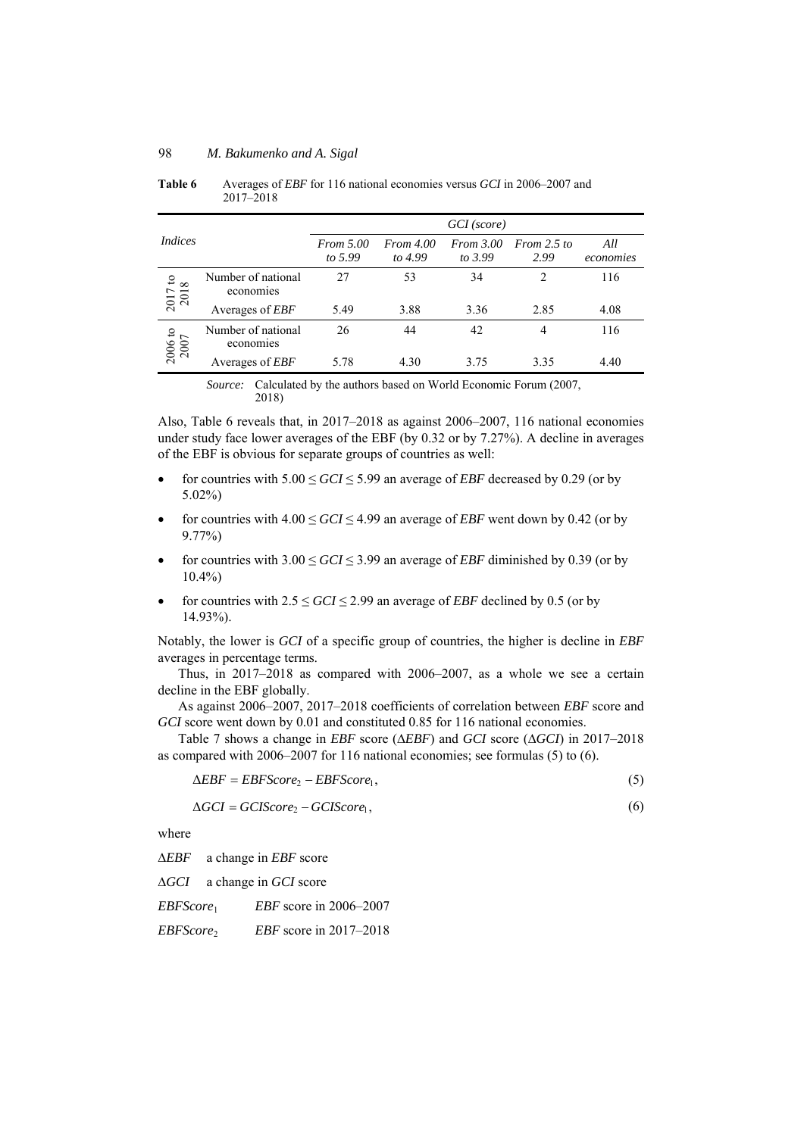|                                |                                 |                             |                             | GCI (score)                 |                       |                  |
|--------------------------------|---------------------------------|-----------------------------|-----------------------------|-----------------------------|-----------------------|------------------|
| <i>Indices</i>                 |                                 | <i>From</i> 5.00<br>to 5.99 | <i>From 4.00</i><br>to 4.99 | <i>From</i> 3.00<br>to 3.99 | From $2.5$ to<br>2.99 | All<br>economies |
| $\frac{2017 \text{ to}}{2018}$ | Number of national<br>economies | 27                          | 53                          | 34                          | $\mathfrak{D}$        | 116              |
|                                | Averages of EBF                 | 5.49                        | 3.88                        | 3.36                        | 2.85                  | 4.08             |
| $2006$ to $2007$               | Number of national<br>economies | 26                          | 44                          | 42                          | 4                     | 116              |
|                                | Averages of EBF                 | 5.78                        | 4.30                        | 3.75                        | 3.35                  | 4.40             |

**Table 6** Averages of *EBF* for 116 national economies versus *GCI* in 2006–2007 and 2017–2018

*Source:* Calculated by the authors based on World Economic Forum (2007, 2018)

Also, Table 6 reveals that, in 2017–2018 as against 2006–2007, 116 national economies under study face lower averages of the EBF (by 0.32 or by 7.27%). A decline in averages of the EBF is obvious for separate groups of countries as well:

- for countries with  $5.00 \leq GCI \leq 5.99$  an average of *EBF* decreased by 0.29 (or by 5.02%)
- for countries with  $4.00 \leq GCI \leq 4.99$  an average of *EBF* went down by 0.42 (or by 9.77%)
- for countries with  $3.00 \leq GCI \leq 3.99$  an average of *EBF* diminished by 0.39 (or by 10.4%)
- for countries with  $2.5 \leq GCI \leq 2.99$  an average of *EBF* declined by 0.5 (or by 14.93%).

Notably, the lower is *GCI* of a specific group of countries, the higher is decline in *EBF* averages in percentage terms.

Thus, in 2017–2018 as compared with 2006–2007, as a whole we see a certain decline in the EBF globally.

As against 2006–2007, 2017–2018 coefficients of correlation between *EBF* score and *GCI* score went down by 0.01 and constituted 0.85 for 116 national economies.

Table 7 shows a change in *EBF* score ( $\triangle EBF$ ) and *GCI* score ( $\triangle GCI$ ) in 2017–2018 as compared with 2006–2007 for 116 national economies; see formulas (5) to (6).

$$
\Delta EBF = EBFScore_2 - EBFScore_1,\tag{5}
$$

$$
\Delta GCI = GCIScore_2 - GCIScore_1,\tag{6}
$$

where

∆*EBF* a change in *EBF* score

∆*GCI* a change in *GCI* score

*EBFScore*<sup>1</sup> *EBF* score in 2006–2007

*EBFScore*<sub>2</sub> *EBF* score in 2017–2018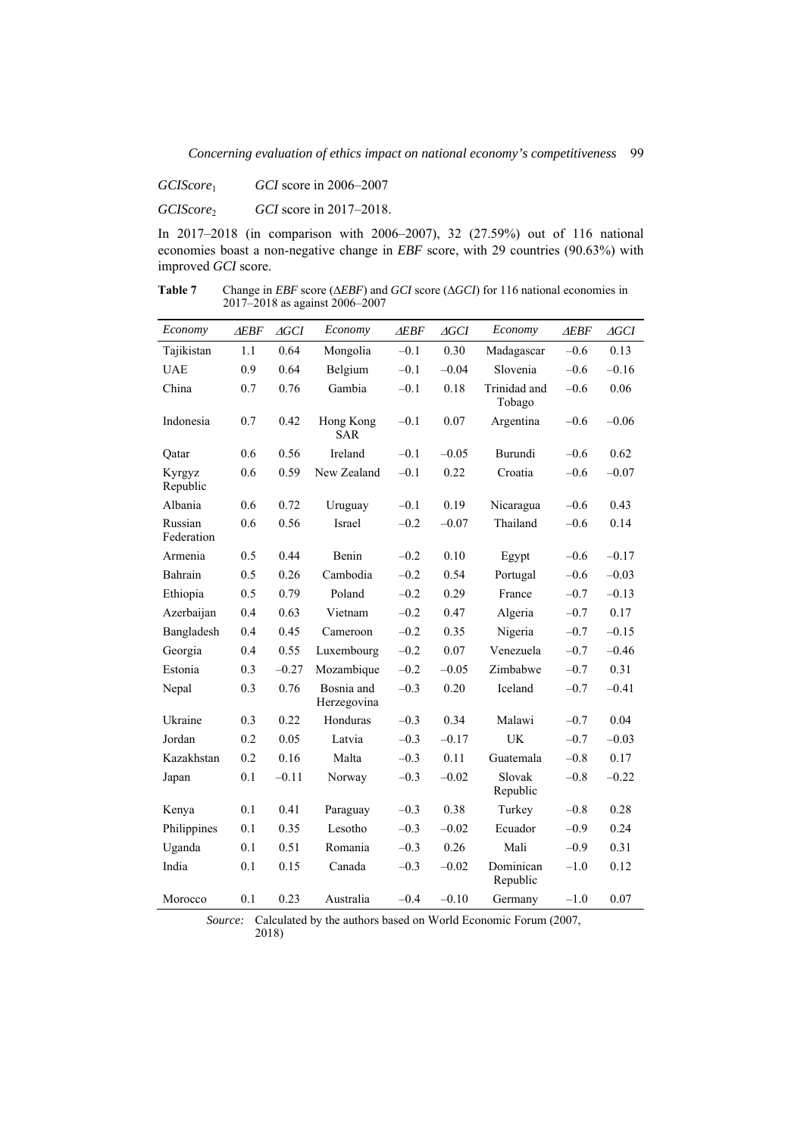| GCIScore <sub>1</sub> | $GCI$ score in 2006–2007 |
|-----------------------|--------------------------|
| GCIScore,             | GCI score in 2017–2018.  |

In 2017–2018 (in comparison with 2006–2007), 32 (27.59%) out of 116 national economies boast a non-negative change in *EBF* score, with 29 countries (90.63%) with improved *GCI* score.

| Economy               | $\triangle EBF$ | AGCI    | Economy                   | <b>AEBF</b> | AGCI    | Economy                | <b>AEBF</b> | AGCI    |
|-----------------------|-----------------|---------|---------------------------|-------------|---------|------------------------|-------------|---------|
| Tajikistan            | 1.1             | 0.64    | Mongolia                  | $-0.1$      | 0.30    | Madagascar             | $-0.6$      | 0.13    |
| <b>UAE</b>            | 0.9             | 0.64    | Belgium                   | $-0.1$      | $-0.04$ | Slovenia               | $-0.6$      | $-0.16$ |
| China                 | 0.7             | 0.76    | Gambia                    | $-0.1$      | 0.18    | Trinidad and<br>Tobago | $-0.6$      | 0.06    |
| Indonesia             | 0.7             | 0.42    | Hong Kong<br><b>SAR</b>   | $-0.1$      | 0.07    | Argentina              | $-0.6$      | $-0.06$ |
| Qatar                 | 0.6             | 0.56    | Ireland                   | $-0.1$      | $-0.05$ | Burundi                | $-0.6$      | 0.62    |
| Kyrgyz<br>Republic    | 0.6             | 0.59    | New Zealand               | $-0.1$      | 0.22    | Croatia                | $-0.6$      | $-0.07$ |
| Albania               | 0.6             | 0.72    | Uruguay                   | $-0.1$      | 0.19    | Nicaragua              | $-0.6$      | 0.43    |
| Russian<br>Federation | 0.6             | 0.56    | Israel                    | $-0.2$      | $-0.07$ | Thailand               | $-0.6$      | 0.14    |
| Armenia               | 0.5             | 0.44    | Benin                     | $-0.2$      | 0.10    | Egypt                  | $-0.6$      | $-0.17$ |
| Bahrain               | 0.5             | 0.26    | Cambodia                  | $-0.2$      | 0.54    | Portugal               | $-0.6$      | $-0.03$ |
| Ethiopia              | 0.5             | 0.79    | Poland                    | $-0.2$      | 0.29    | France                 | $-0.7$      | $-0.13$ |
| Azerbaijan            | 0.4             | 0.63    | Vietnam                   | $-0.2$      | 0.47    | Algeria                | $-0.7$      | 0.17    |
| Bangladesh            | 0.4             | 0.45    | Cameroon                  | $-0.2$      | 0.35    | Nigeria                | $-0.7$      | $-0.15$ |
| Georgia               | 0.4             | 0.55    | Luxembourg                | $-0.2$      | 0.07    | Venezuela              | $-0.7$      | $-0.46$ |
| Estonia               | 0.3             | $-0.27$ | Mozambique                | $-0.2$      | $-0.05$ | Zimbabwe               | $-0.7$      | 0.31    |
| Nepal                 | 0.3             | 0.76    | Bosnia and<br>Herzegovina | $-0.3$      | 0.20    | Iceland                | $-0.7$      | $-0.41$ |
| Ukraine               | 0.3             | 0.22    | Honduras                  | $-0.3$      | 0.34    | Malawi                 | $-0.7$      | 0.04    |
| Jordan                | 0.2             | 0.05    | Latvia                    | $-0.3$      | $-0.17$ | <b>UK</b>              | $-0.7$      | $-0.03$ |
| Kazakhstan            | 0.2             | 0.16    | Malta                     | $-0.3$      | 0.11    | Guatemala              | $-0.8$      | 0.17    |
| Japan                 | 0.1             | $-0.11$ | Norway                    | $-0.3$      | $-0.02$ | Slovak<br>Republic     | $-0.8$      | $-0.22$ |
| Kenya                 | 0.1             | 0.41    | Paraguay                  | $-0.3$      | 0.38    | Turkey                 | $-0.8$      | 0.28    |
| Philippines           | 0.1             | 0.35    | Lesotho                   | $-0.3$      | $-0.02$ | Ecuador                | $-0.9$      | 0.24    |
| Uganda                | 0.1             | 0.51    | Romania                   | $-0.3$      | 0.26    | Mali                   | $-0.9$      | 0.31    |
| India                 | 0.1             | 0.15    | Canada                    | $-0.3$      | $-0.02$ | Dominican<br>Republic  | $-1.0$      | 0.12    |
| Morocco               | 0.1             | 0.23    | Australia                 | $-0.4$      | $-0.10$ | Germany                | $-1.0$      | 0.07    |

**Table 7** Change in *EBF* score (*EBF*) and *GCI* score (*GCI*) for 116 national economies in 2017–2018 as against 2006–2007

*Source:* Calculated by the authors based on World Economic Forum (2007, 2018)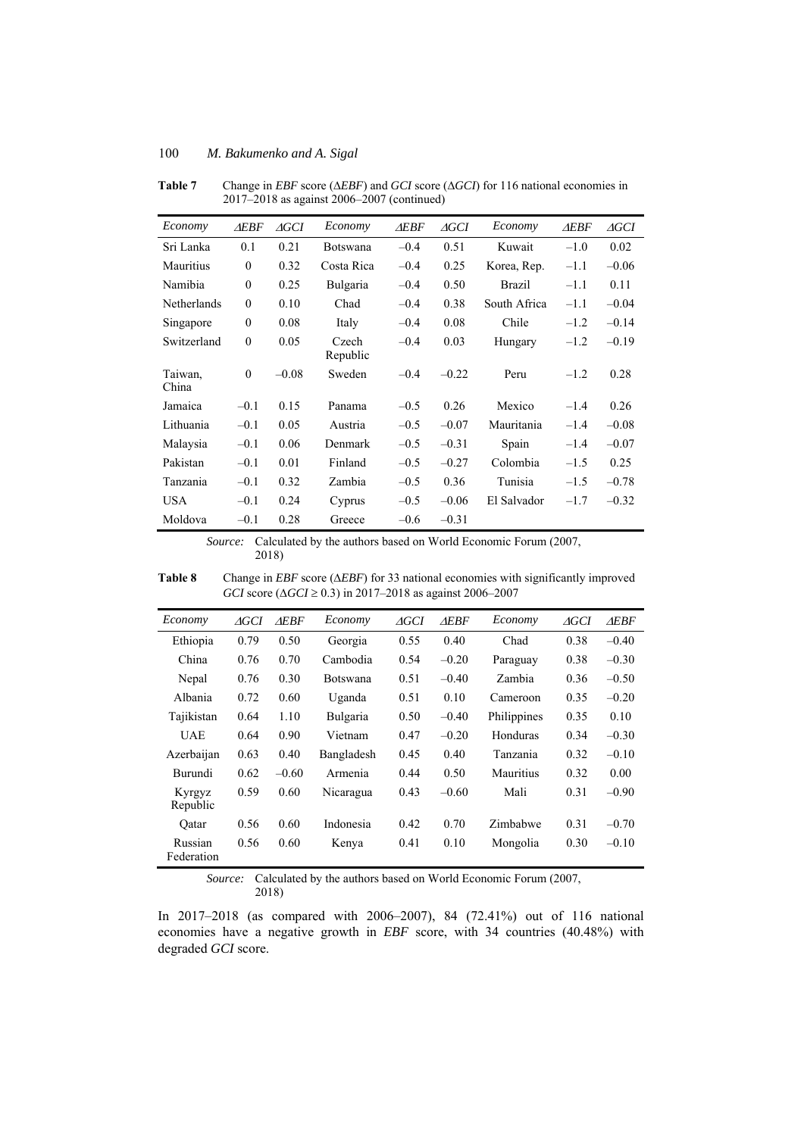| Economy            | <b>AEBF</b>  | ∆GCI    | Economy           | <b>AEBF</b> | ⊿GCI    | Economy       | <b>AEBF</b> | $\triangle GCI$ |
|--------------------|--------------|---------|-------------------|-------------|---------|---------------|-------------|-----------------|
| Sri Lanka          | 0.1          | 0.21    | <b>Botswana</b>   | $-0.4$      | 0.51    | Kuwait        | $-1.0$      | 0.02            |
| Mauritius          | $\theta$     | 0.32    | Costa Rica        | $-0.4$      | 0.25    | Korea, Rep.   | $-1.1$      | $-0.06$         |
| Namibia            | $\theta$     | 0.25    | Bulgaria          | $-0.4$      | 0.50    | <b>Brazil</b> | $-1.1$      | 0.11            |
| <b>Netherlands</b> | $\mathbf{0}$ | 0.10    | Chad              | $-0.4$      | 0.38    | South Africa  | $-1.1$      | $-0.04$         |
| Singapore          | $\theta$     | 0.08    | Italy             | $-0.4$      | 0.08    | Chile         | $-1.2$      | $-0.14$         |
| Switzerland        | $\mathbf{0}$ | 0.05    | Czech<br>Republic | $-0.4$      | 0.03    | Hungary       | $-1.2$      | $-0.19$         |
| Taiwan,<br>China   | $\theta$     | $-0.08$ | Sweden            | $-0.4$      | $-0.22$ | Peru          | $-1.2$      | 0.28            |
| Jamaica            | $-0.1$       | 0.15    | Panama            | $-0.5$      | 0.26    | Mexico        | $-1.4$      | 0.26            |
| Lithuania          | $-0.1$       | 0.05    | Austria           | $-0.5$      | $-0.07$ | Mauritania    | $-1.4$      | $-0.08$         |
| Malaysia           | $-0.1$       | 0.06    | Denmark           | $-0.5$      | $-0.31$ | Spain         | $-1.4$      | $-0.07$         |
| Pakistan           | $-0.1$       | 0.01    | Finland           | $-0.5$      | $-0.27$ | Colombia      | $-1.5$      | 0.25            |
| Tanzania           | $-0.1$       | 0.32    | Zambia            | $-0.5$      | 0.36    | Tunisia       | $-1.5$      | $-0.78$         |
| <b>USA</b>         | $-0.1$       | 0.24    | Cyprus            | $-0.5$      | $-0.06$ | El Salvador   | $-1.7$      | $-0.32$         |
| Moldova            | $-0.1$       | 0.28    | Greece            | $-0.6$      | $-0.31$ |               |             |                 |

Table 7 Change in *EBF* score ( $\triangle EBF$ ) and *GCI* score ( $\triangle GCI$ ) for 116 national economies in 2017–2018 as against 2006–2007 (continued)

*Source:* Calculated by the authors based on World Economic Forum (2007, 2018)

**Table 8** Change in *EBF* score ( $\triangle EBF$ ) for 33 national economies with significantly improved *GCI* score ( $\Delta GCI \ge 0.3$ ) in 2017–2018 as against 2006–2007

| Economy               | AGCI | AEBF    | Economy         | AGCI | <b>AEBF</b> | Economy     | ∆GCI | AEBF    |
|-----------------------|------|---------|-----------------|------|-------------|-------------|------|---------|
| Ethiopia              | 0.79 | 0.50    | Georgia         | 0.55 | 0.40        | Chad        | 0.38 | $-0.40$ |
| China                 | 0.76 | 0.70    | Cambodia        | 0.54 | $-0.20$     | Paraguay    | 0.38 | $-0.30$ |
| Nepal                 | 0.76 | 0.30    | <b>Botswana</b> | 0.51 | $-0.40$     | Zambia      | 0.36 | $-0.50$ |
| Albania               | 0.72 | 0.60    | Uganda          | 0.51 | 0.10        | Cameroon    | 0.35 | $-0.20$ |
| Tajikistan            | 0.64 | 1.10    | Bulgaria        | 0.50 | $-0.40$     | Philippines | 0.35 | 0.10    |
| <b>UAE</b>            | 0.64 | 0.90    | Vietnam         | 0.47 | $-0.20$     | Honduras    | 0.34 | $-0.30$ |
| Azerbaijan            | 0.63 | 0.40    | Bangladesh      | 0.45 | 0.40        | Tanzania    | 0.32 | $-0.10$ |
| Burundi               | 0.62 | $-0.60$ | Armenia         | 0.44 | 0.50        | Mauritius   | 0.32 | 0.00    |
| Kyrgyz<br>Republic    | 0.59 | 0.60    | Nicaragua       | 0.43 | $-0.60$     | Mali        | 0.31 | $-0.90$ |
| Oatar                 | 0.56 | 0.60    | Indonesia       | 0.42 | 0.70        | Zimbabwe    | 0.31 | $-0.70$ |
| Russian<br>Federation | 0.56 | 0.60    | Kenya           | 0.41 | 0.10        | Mongolia    | 0.30 | $-0.10$ |

*Source:* Calculated by the authors based on World Economic Forum (2007, 2018)

In 2017–2018 (as compared with 2006–2007), 84 (72.41%) out of 116 national economies have a negative growth in *EBF* score, with 34 countries (40.48%) with degraded *GCI* score.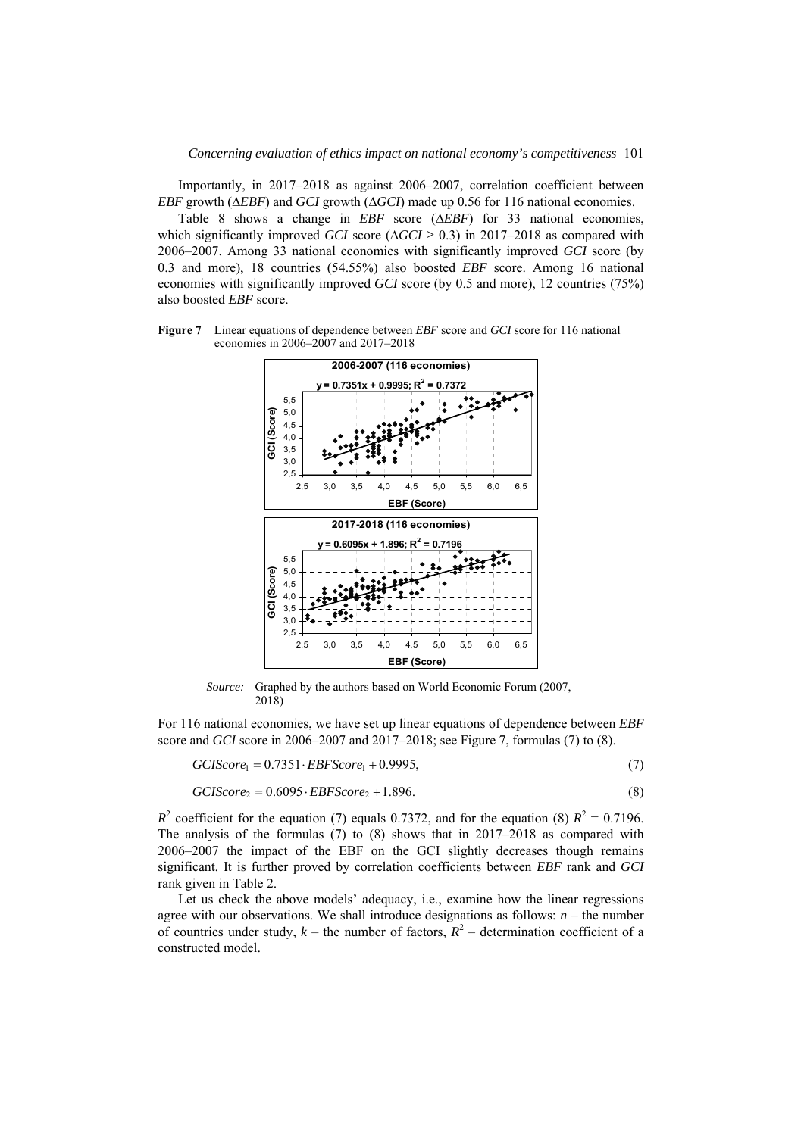Importantly, in 2017–2018 as against 2006–2007, correlation coefficient between *EBF* growth ( $\triangle EBF$ ) and *GCI* growth ( $\triangle GCI$ ) made up 0.56 for 116 national economies.

Table 8 shows a change in  $EBF$  score  $(\triangle EBF)$  for 33 national economies, which significantly improved *GCI* score ( $\Delta GCI \ge 0.3$ ) in 2017–2018 as compared with 2006–2007. Among 33 national economies with significantly improved *GCI* score (by 0.3 and more), 18 countries (54.55%) also boosted *EBF* score. Among 16 national economies with significantly improved *GCI* score (by 0.5 and more), 12 countries (75%) also boosted *EBF* score.



**Figure 7** Linear equations of dependence between *EBF* score and *GCI* score for 116 national economies in 2006–2007 and 2017–2018

*Source:* Graphed by the authors based on World Economic Forum (2007, 2018)

For 116 national economies, we have set up linear equations of dependence between *EBF* score and *GCI* score in 2006–2007 and 2017–2018; see Figure 7, formulas (7) to (8).

$$
GCIScore_1 = 0.7351 \cdot EBFScore_1 + 0.9995,\tag{7}
$$

$$
GCIScore_2 = 0.6095 \cdot EBFScore_2 + 1.896. \tag{8}
$$

 $R^2$  coefficient for the equation (7) equals 0.7372, and for the equation (8)  $R^2 = 0.7196$ . The analysis of the formulas  $(7)$  to  $(8)$  shows that in 2017–2018 as compared with 2006–2007 the impact of the EBF on the GCI slightly decreases though remains significant. It is further proved by correlation coefficients between *EBF* rank and *GCI* rank given in Table 2.

Let us check the above models' adequacy, i.e., examine how the linear regressions agree with our observations. We shall introduce designations as follows:  $n -$  the number of countries under study,  $k$  – the number of factors,  $R^2$  – determination coefficient of a constructed model.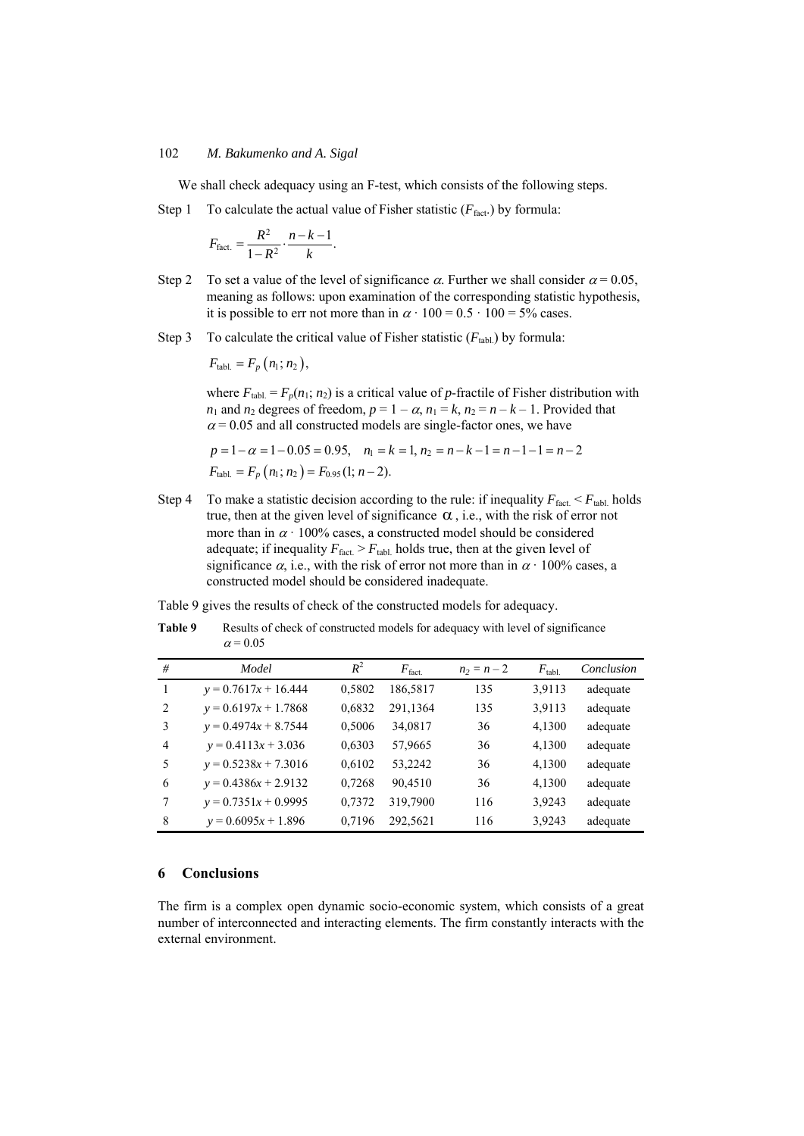We shall check adequacy using an F-test, which consists of the following steps.

Step 1 To calculate the actual value of Fisher statistic  $(F_{\text{fact}})$  by formula:

$$
F_{\text{fact.}} = \frac{R^2}{1 - R^2} \cdot \frac{n - k - 1}{k}.
$$

- Step 2 To set a value of the level of significance  $\alpha$ . Further we shall consider  $\alpha = 0.05$ , meaning as follows: upon examination of the corresponding statistic hypothesis, it is possible to err not more than in  $\alpha \cdot 100 = 0.5 \cdot 100 = 5\%$  cases.
- Step 3 To calculate the critical value of Fisher statistic  $(F_{\text{tabl}})$  by formula:

$$
F_{\text{table.}} = F_p\left(n_1; n_2\right),
$$

where  $F_{\text{table}} = F_p(n_1; n_2)$  is a critical value of *p*-fractile of Fisher distribution with *n*<sub>1</sub> and *n*<sub>2</sub> degrees of freedom,  $p = 1 - \alpha$ ,  $n_1 = k$ ,  $n_2 = n - k - 1$ . Provided that  $\alpha$  = 0.05 and all constructed models are single-factor ones, we have

$$
p = 1 - \alpha = 1 - 0.05 = 0.95, \quad n_1 = k = 1, n_2 = n - k - 1 = n - 1 - 1 = n - 2
$$
  

$$
F_{\text{tabl.}} = F_p(n_1; n_2) = F_{0.95}(1; n - 2).
$$

Step 4 To make a statistic decision according to the rule: if inequality  $F_{\text{fact}} < F_{\text{tabl}}$ , holds true, then at the given level of significance  $\alpha$ , i.e., with the risk of error not more than in  $\alpha \cdot 100\%$  cases, a constructed model should be considered adequate; if inequality  $F_{\text{fact.}} > F_{\text{table}}$  holds true, then at the given level of significance  $\alpha$ , i.e., with the risk of error not more than in  $\alpha \cdot 100\%$  cases, a constructed model should be considered inadequate.

Table 9 gives the results of check of the constructed models for adequacy.

| #             | Model                  | $R^2$  | $F_{\text{fact.}}$ | $n_2 = n - 2$ | $F_{\text{table}}$ | Conclusion |
|---------------|------------------------|--------|--------------------|---------------|--------------------|------------|
| 1             | $y = 0.7617x + 16.444$ | 0,5802 | 186,5817           | 135           | 3,9113             | adequate   |
| $\mathcal{L}$ | $y = 0.6197x + 1.7868$ | 0,6832 | 291,1364           | 135           | 3,9113             | adequate   |
| 3             | $y = 0.4974x + 8.7544$ | 0,5006 | 34,0817            | 36            | 4,1300             | adequate   |
| 4             | $y = 0.4113x + 3.036$  | 0,6303 | 57,9665            | 36            | 4,1300             | adequate   |
| 5             | $y = 0.5238x + 7.3016$ | 0,6102 | 53,2242            | 36            | 4,1300             | adequate   |
| 6             | $y = 0.4386x + 2.9132$ | 0,7268 | 90,4510            | 36            | 4,1300             | adequate   |
| 7             | $y = 0.7351x + 0.9995$ | 0,7372 | 319,7900           | 116           | 3,9243             | adequate   |
| 8             | $y = 0.6095x + 1.896$  | 0,7196 | 292,5621           | 116           | 3,9243             | adequate   |

**Table 9** Results of check of constructed models for adequacy with level of significance  $\alpha$  = 0.05

### **6 Conclusions**

The firm is a complex open dynamic socio-economic system, which consists of a great number of interconnected and interacting elements. The firm constantly interacts with the external environment.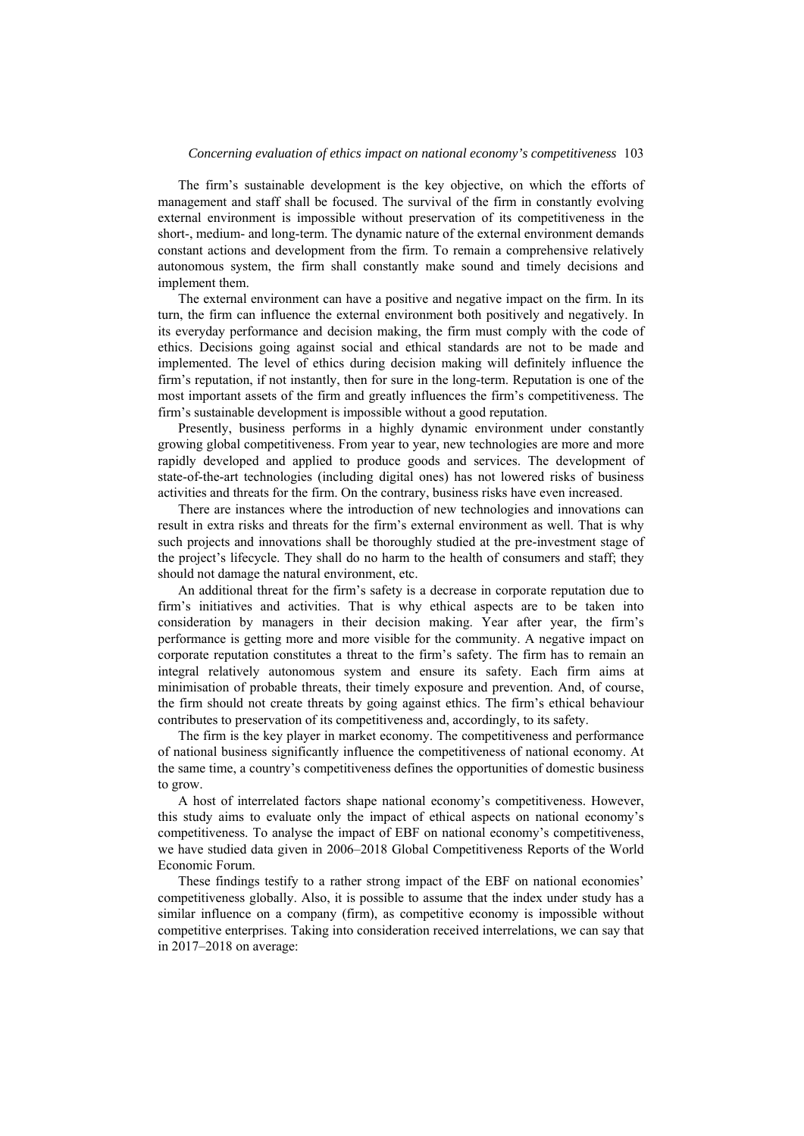The firm's sustainable development is the key objective, on which the efforts of management and staff shall be focused. The survival of the firm in constantly evolving external environment is impossible without preservation of its competitiveness in the short-, medium- and long-term. The dynamic nature of the external environment demands constant actions and development from the firm. To remain a comprehensive relatively autonomous system, the firm shall constantly make sound and timely decisions and implement them.

The external environment can have a positive and negative impact on the firm. In its turn, the firm can influence the external environment both positively and negatively. In its everyday performance and decision making, the firm must comply with the code of ethics. Decisions going against social and ethical standards are not to be made and implemented. The level of ethics during decision making will definitely influence the firm's reputation, if not instantly, then for sure in the long-term. Reputation is one of the most important assets of the firm and greatly influences the firm's competitiveness. The firm's sustainable development is impossible without a good reputation.

Presently, business performs in a highly dynamic environment under constantly growing global competitiveness. From year to year, new technologies are more and more rapidly developed and applied to produce goods and services. The development of state-of-the-art technologies (including digital ones) has not lowered risks of business activities and threats for the firm. On the contrary, business risks have even increased.

There are instances where the introduction of new technologies and innovations can result in extra risks and threats for the firm's external environment as well. That is why such projects and innovations shall be thoroughly studied at the pre-investment stage of the project's lifecycle. They shall do no harm to the health of consumers and staff; they should not damage the natural environment, etc.

An additional threat for the firm's safety is a decrease in corporate reputation due to firm's initiatives and activities. That is why ethical aspects are to be taken into consideration by managers in their decision making. Year after year, the firm's performance is getting more and more visible for the community. A negative impact on corporate reputation constitutes a threat to the firm's safety. The firm has to remain an integral relatively autonomous system and ensure its safety. Each firm aims at minimisation of probable threats, their timely exposure and prevention. And, of course, the firm should not create threats by going against ethics. The firm's ethical behaviour contributes to preservation of its competitiveness and, accordingly, to its safety.

The firm is the key player in market economy. The competitiveness and performance of national business significantly influence the competitiveness of national economy. At the same time, a country's competitiveness defines the opportunities of domestic business to grow.

A host of interrelated factors shape national economy's competitiveness. However, this study aims to evaluate only the impact of ethical aspects on national economy's competitiveness. To analyse the impact of EBF on national economy's competitiveness, we have studied data given in 2006–2018 Global Competitiveness Reports of the World Economic Forum.

These findings testify to a rather strong impact of the EBF on national economies' competitiveness globally. Also, it is possible to assume that the index under study has a similar influence on a company (firm), as competitive economy is impossible without competitive enterprises. Taking into consideration received interrelations, we can say that in 2017–2018 on average: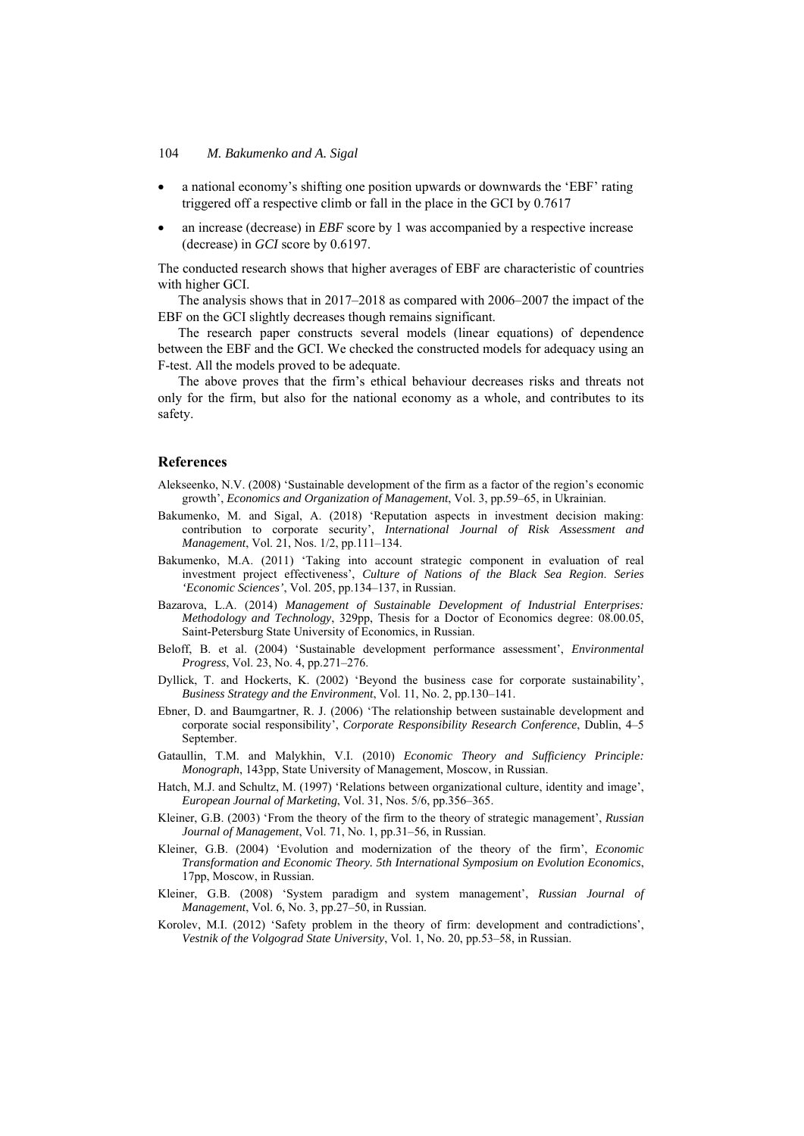- a national economy's shifting one position upwards or downwards the 'EBF' rating triggered off a respective climb or fall in the place in the GCI by 0.7617
- an increase (decrease) in *EBF* score by 1 was accompanied by a respective increase (decrease) in *GCI* score by 0.6197.

The conducted research shows that higher averages of EBF are characteristic of countries with higher GCI.

The analysis shows that in 2017–2018 as compared with 2006–2007 the impact of the EBF on the GCI slightly decreases though remains significant.

The research paper constructs several models (linear equations) of dependence between the EBF and the GCI. We checked the constructed models for adequacy using an F-test. All the models proved to be adequate.

The above proves that the firm's ethical behaviour decreases risks and threats not only for the firm, but also for the national economy as a whole, and contributes to its safety.

## **References**

- Alekseenko, N.V. (2008) 'Sustainable development of the firm as a factor of the region's economic growth', *Economics and Organization of Management*, Vol. 3, pp.59–65, in Ukrainian.
- Bakumenko, M. and Sigal, A. (2018) 'Reputation aspects in investment decision making: contribution to corporate security', *International Journal of Risk Assessment and Management*, Vol. 21, Nos. 1/2, pp.111–134.
- Bakumenko, M.A. (2011) 'Taking into account strategic component in evaluation of real investment project effectiveness', *Culture of Nations of the Black Sea Region*. *Series 'Economic Sciences'*, Vol. 205, pp.134–137, in Russian.
- Bazarova, L.A. (2014) *Management of Sustainable Development of Industrial Enterprises: Methodology and Technology*, 329pp, Thesis for a Doctor of Economics degree: 08.00.05, Saint-Petersburg State University of Economics, in Russian.
- Beloff, B. et al. (2004) 'Sustainable development performance assessment', *Environmental Progress*, Vol. 23, No. 4, pp.271–276.
- Dyllick, T. and Hockerts, K. (2002) 'Beyond the business case for corporate sustainability', *Business Strategy and the Environment*, Vol. 11, No. 2, pp.130–141.
- Ebner, D. and Baumgartner, R. J. (2006) 'The relationship between sustainable development and corporate social responsibility', *Corporate Responsibility Research Conference*, Dublin, 4–5 September.
- Gataullin, T.M. and Malykhin, V.I. (2010) *Economic Theory and Sufficiency Principle: Monograph*, 143pp, State University of Management, Moscow, in Russian.
- Hatch, M.J. and Schultz, M. (1997) 'Relations between organizational culture, identity and image', *European Journal of Marketing*, Vol. 31, Nos. 5/6, pp.356–365.
- Kleiner, G.B. (2003) 'From the theory of the firm to the theory of strategic management', *Russian Journal of Management*, Vol. 71, No. 1, pp.31–56, in Russian.
- Kleiner, G.B. (2004) 'Evolution and modernization of the theory of the firm', *Economic Transformation and Economic Theory. 5th International Symposium on Evolution Economics*, 17pp, Moscow, in Russian.
- Kleiner, G.B. (2008) 'System paradigm and system management', *Russian Journal of Management*, Vol. 6, No. 3, pp.27–50, in Russian.
- Korolev, M.I. (2012) 'Safety problem in the theory of firm: development and contradictions', *Vestnik of the Volgograd State University*, Vol. 1, No. 20, pp.53–58, in Russian.